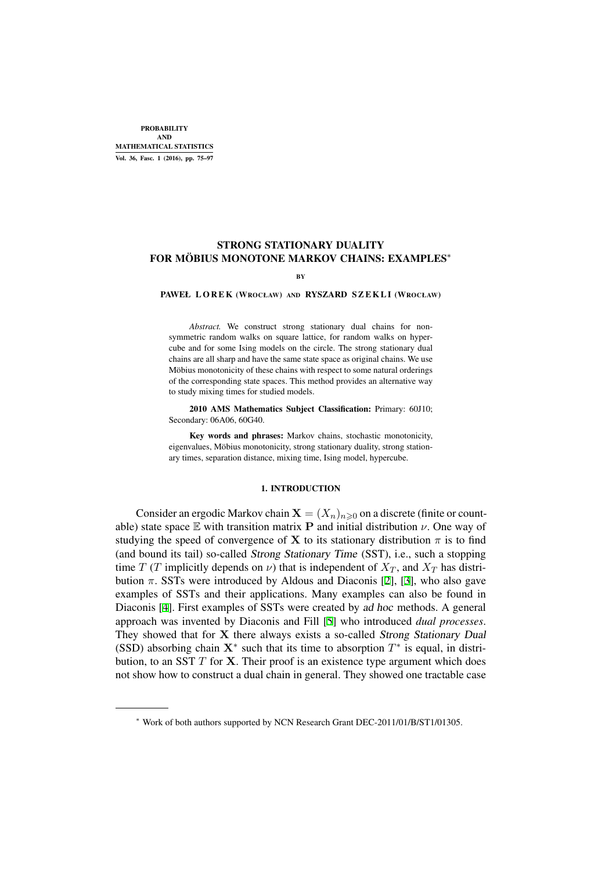PROBABILITY AND MATHEMATICAL STATISTICS Vol. 36, Fasc. 1 (2016), pp. 75–97

# STRONG STATIONARY DUALITY FOR MÖBIUS MONOTONE MARKOV CHAINS: EXAMPLES*<sup>∗</sup>*

**B**Y

#### PAWEŁ LOREK (WROCŁAW) AND RYSZARD SZEKLI (WROCŁAW)

*Abstract.* We construct strong stationary dual chains for nonsymmetric random walks on square lattice, for random walks on hypercube and for some Ising models on the circle. The strong stationary dual chains are all sharp and have the same state space as original chains. We use Möbius monotonicity of these chains with respect to some natural orderings of the corresponding state spaces. This method provides an alternative way to study mixing times for studied models.

2010 AMS Mathematics Subject Classification: Primary: 60J10; Secondary: 06A06, 60G40.

Key words and phrases: Markov chains, stochastic monotonicity, eigenvalues, Möbius monotonicity, strong stationary duality, strong stationary times, separation distance, mixing time, Ising model, hypercube.

#### 1. INTRODUCTION

Consider an ergodic Markov chain  $\mathbf{X} = (X_n)_{n \geq 0}$  on a discrete (finite or countable) state space  $E$  with transition matrix **P** and initial distribution  $\nu$ . One way of studying the speed of convergence of **X** to its stationary distribution  $\pi$  is to find (and bound its tail) so-called Strong Stationary Time (SST), i.e., such a stopping time *T* (*T* implicitly depends on *ν*) that is independent of  $X_T$ , and  $X_T$  has distribution  $\pi$ . SSTs were introduced by Aldous and Diaconis [2], [3], who also gave examples of SSTs and their applications. Many examples can also be found in Diaconis [4]. First examples of SSTs were created by ad hoc methods. A general approach was invented by Diaconis and Fill [5] who introduced *dual processes*. They showed that for **X** there always exists a so-called [Str](#page-21-0)on[g](#page-21-1) Stationary Dual (SSD) absorbing chain  $X^*$  such that its time to absorption  $T^*$  is equal, in distribution, to [an](#page-21-2) SST *T* for **X**. Their proof is an existence type argument which does not show how to construct a dual chain in gene[ra](#page-21-3)l. They showed one tractable case

*<sup>∗</sup>* Work of both authors supported by NCN Research Grant DEC-2011/01/B/ST1/01305.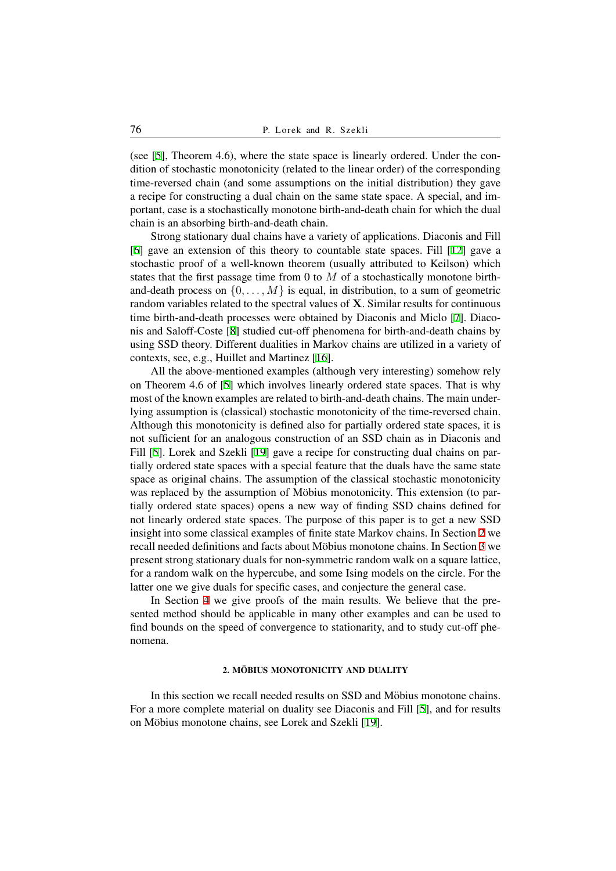(see [5], Theorem 4.6), where the state space is linearly ordered. Under the condition of stochastic monotonicity (related to the linear order) of the corresponding time-reversed chain (and some assumptions on the initial distribution) they gave a recipe for constructing a dual chain on the same state space. A special, and importa[nt](#page-21-3), case is a stochastically monotone birth-and-death chain for which the dual chain is an absorbing birth-and-death chain.

Strong stationary dual chains have a variety of applications. Diaconis and Fill [6] gave an extension of this theory to countable state spaces. Fill [12] gave a stochastic proof of a well-known theorem (usually attributed to Keilson) which states that the first passage time from 0 to *M* of a stochastically monotone birthand-death process on  $\{0, \ldots, M\}$  is equal, in distribution, to a sum of geometric [ran](#page-21-4)dom variables related to the spectral values of **X**. Similar results for [con](#page-22-0)tinuous time birth-and-death processes were obtained by Diaconis and Miclo [7]. Diaconis and Saloff-Coste [8] studied cut-off phenomena for birth-and-death chains by using SSD theory. Different dualities in Markov chains are utilized in a variety of contexts, see, e.g., Huillet and Martinez [16].

All the above-mentioned examples (although very interesting) so[me](#page-21-5)how rely on Theorem 4.6 of [[5\]](#page-22-1) which involves linearly ordered state spaces. That is why most of the known examples are related to birth-and-death chains. The main underlying assumption is (classical) stochastic [mo](#page-22-2)notonicity of the time-reversed chain. Although this monotonicity is defined also for partially ordered state spaces, it is not sufficient for an [a](#page-21-3)nalogous construction of an SSD chain as in Diaconis and Fill [5]. Lorek and Szekli [19] gave a recipe for constructing dual chains on partially ordered state spaces with a special feature that the duals have the same state space as original chains. The assumption of the classical stochastic monotonicity was replaced by the assumption of Möbius monotonicity. This extension (to partiall[y o](#page-21-3)rdered state spaces) [op](#page-22-3)ens a new way of finding SSD chains defined for not linearly ordered state spaces. The purpose of this paper is to get a new SSD insight into some classical examples of finite state Markov chains. In Section 2 we recall needed definitions and facts about Möbius monotone chains. In Section 3 we present strong stationary duals for non-symmetric random walk on a square lattice, for a random walk on the hypercube, and some Ising models on the circle. For the latter one we give duals for specific cases, and conjecture the general case.

In Section 4 we give proofs of the main results. We believe that the [p](#page-4-0)resented method should be applicable in many other examples and can be used to find bounds on the speed of convergence to stationarity, and to study cut-off phenomena.

## 2. MÖBIUS MONOTONICITY AND DUALITY

In this section we recall needed results on SSD and Möbius monotone chains. For a more complete material on duality see Diaconis and Fill [5], and for results on Möbius monotone chains, see Lorek and Szekli [19].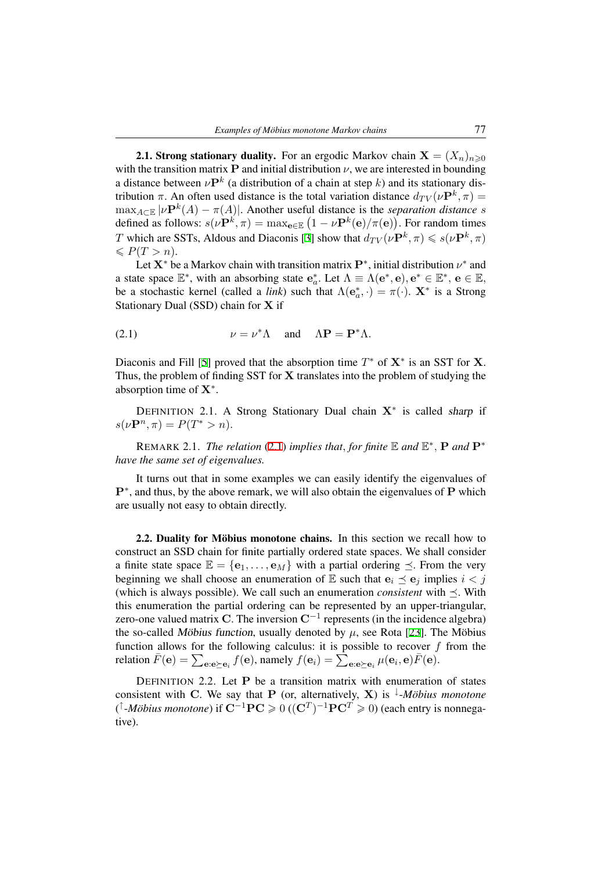**2.1. Strong stationary duality.** For an ergodic Markov chain  $\mathbf{X} = (X_n)_{n \geq 0}$ with the transition matrix **P** and initial distribution  $\nu$ , we are interested in bounding a distance between  $\nu \mathbf{P}^k$  (a distribution of a chain at step *k*) and its stationary distribution  $\pi$ . An often used distance is the total variation distance  $d_{TV}(\nu \mathbf{P}^k, \pi) =$  $\max_{A \subset \mathbb{E}} |\nu \mathbf{P}^k(A) - \pi(A)|$ . Another useful distance is the *separation distance s* defined as follows:  $s(\nu \mathbf{P}^k, \pi) = \max_{\mathbf{e} \in \mathbb{E}} (1 - \nu \mathbf{P}^k(\mathbf{e})/\pi(\mathbf{e}))$ . For random times *T* which are SSTs, Aldous and Diaconis [3] show that  $d_{TV}(\nu \mathbf{P}^k, \pi) \leqslant s(\nu \mathbf{P}^k, \pi)$  $\leqslant P(T > n).$ 

Let  $X^*$  be a Markov chain with transition matrix  $P^*$ , initial distribution  $\nu^*$  and a state space  $\mathbb{E}^*$ , with an absorbing state  $\mathbf{e}_a^*$ . Let  $\Lambda \equiv \Lambda(\mathbf{e}^*, \mathbf{e})$ ,  $\mathbf{e}^* \in \mathbb{E}^*, \mathbf{e} \in \mathbb{E}$ , be a sto[ch](#page-21-1)astic kernel (called a *link*) such that  $\Lambda(e_a^*, \cdot) = \pi(\cdot)$ . **X**<sup>\*</sup> is a Strong Stationary Dual (SSD) chain for **X** if

(2.1) 
$$
\nu = \nu^* \Lambda \quad \text{and} \quad \Lambda \mathbf{P} = \mathbf{P}^* \Lambda.
$$

<span id="page-2-0"></span>Diaconis and Fill [5] proved that the absorption time  $T^*$  of  $X^*$  is an SST for X. Thus, the problem of finding SST for **X** translates into the problem of studying the absorption time of **X***<sup>∗</sup>* .

DEFINITION [2.](#page-21-3)1. A Strong Stationary Dual chain **X***<sup>∗</sup>* is called sharp if  $s(\nu \mathbf{P}^n, \pi) = P(T^* > n).$ 

REMARK 2.1. *The relation* (2.1) *implies that, for finite*  $\mathbb E$  *and*  $\mathbb E^*$ *,* **P** *and*  $\mathbf P^*$ *have the same set of eigenvalues.*

<span id="page-2-1"></span>It turns out that in some examples we can easily identify the eigenvalues of **P***<sup>∗</sup>* , and thus, by the above remar[k, w](#page-2-0)e will also obtain the eigenvalues of **P** which are usually not easy to obtain directly.

2.2. Duality for Möbius monotone chains. In this section we recall how to construct an SSD chain for finite partially ordered state spaces. We shall consider a finite state space  $\mathbb{E} = {\mathbf{e}_1, \dots, \mathbf{e}_M}$  with a partial ordering  $\preceq$ . From the very beginning we shall choose an enumeration of  $E$  such that  $e_i \leq e_j$  implies  $i < j$ (which is always possible). We call such an enumeration *consistent* with *≼*. With this enumeration the partial ordering can be represented by an upper-triangular, zero-one valued matrix **C**. The inversion **C***−*<sup>1</sup> represents (in the incidence algebra) the so-called Möbius function, usually denoted by  $\mu$ , see Rota [23]. The Möbius function allows for the following calculus: it is possible to recover *f* from the relation  $\bar{F}(\mathbf{e}) = \sum_{\mathbf{e}: \mathbf{e} \succeq \mathbf{e}_i} f(\mathbf{e})$ , namely  $f(\mathbf{e}_i) = \sum_{\mathbf{e}: \mathbf{e} \succeq \mathbf{e}_i} \mu(\mathbf{e}_i, \mathbf{e}) \bar{F}(\mathbf{e})$ .

DEFINITION 2.2. Let **P** be a transition matrix with enu[mera](#page-22-4)tion of states consistent with **C**. We say that **P** (or, alternatively, **X**) is <sup> $\downarrow$ </sup>-*Möbius monotone* ( *↑* -*Mobius monotone ¨* ) if **C***−*1**PC** 0 ((**C***<sup>T</sup>* ) *<sup>−</sup>*1**PC***<sup>T</sup>* 0) (each entry is nonnegative).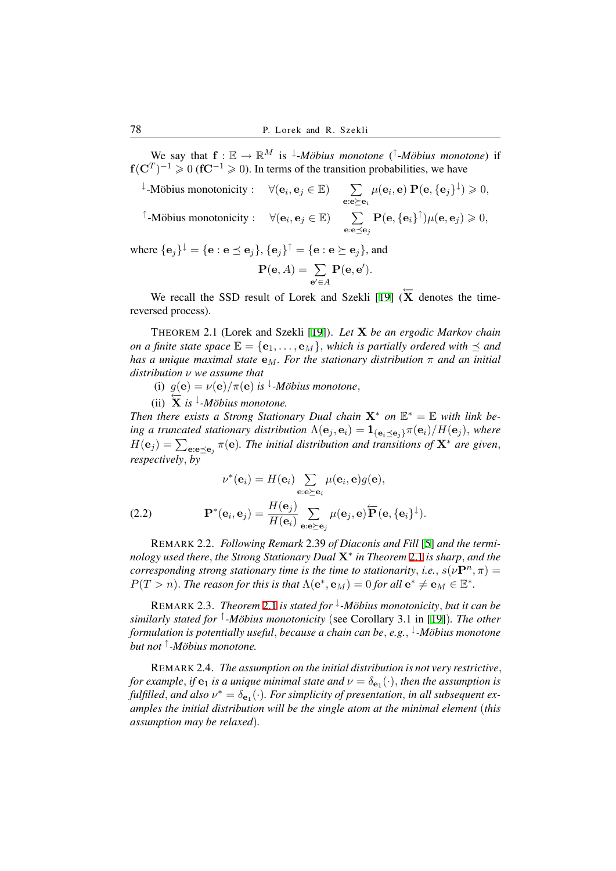We say that  $f: \mathbb{E} \to \mathbb{R}^M$  is <sup> $\downarrow$ </sup>-*Möbius monotone*  $($  $\uparrow$ -*Möbius monotone*) if **f**( $\mathbf{C}^T$ )<sup>-1</sup> ≥ 0 ( $\mathbf{f} \mathbf{C}^{-1}$  ≥ 0). In terms of the transition probabilities, we have

 $\downarrow$ -Möbius monotonicity :  $\forall$  (**e**<sub>*i*</sub>, **e**<sub>*j*</sub> ∈ E)  $\sum$ **e**:**e***≽***e***<sup>i</sup>*  $\mu(\mathbf{e}_i, \mathbf{e}) \mathbf{P}(\mathbf{e}, \{\mathbf{e}_j\}^{\downarrow}) \geqslant 0,$ 

 $\forall$  **(e**<sub>*i*</sub>, **e**<sub>*j*</sub>  $\in$  **E**)  $\sum$ **e**:**e***≼***e***<sup>j</sup>*  $\mathbf{P}(\mathbf{e}, \{\mathbf{e}_i\}^{\uparrow})\mu(\mathbf{e}, \mathbf{e}_j) \geqslant 0,$ 

where  $\{\mathbf{e}_j\}^\downarrow = \{\mathbf{e} : \mathbf{e} \preceq \mathbf{e}_j\}$ ,  $\{\mathbf{e}_j\}^\uparrow = \{\mathbf{e} : \mathbf{e} \succeq \mathbf{e}_j\}$ , and

$$
\mathbf{P}(\mathbf{e},A)=\sum_{\mathbf{e'}\in A}\mathbf{P}(\mathbf{e},\mathbf{e'}).
$$

We recall the SSD result of Lorek and Szekli [19] ( $\overline{X}$  denotes the timereversed process).

THEOREM 2.1 (Lorek and Szekli [19]). *Let* **X** *be an ergodic Markov chain on a finite state space*  $\mathbb{E} = {\mathbf{e}_1, \dots, \mathbf{e}_M}$ , *which is p[artia](#page-22-3)lly ordered with*  $\preceq$  *and has a unique maximal state* **e***M. For the stationary distribution π and an initial distribution ν we assume that*

<span id="page-3-0"></span>(i)  $g(\mathbf{e}) = \nu(\mathbf{e})/\pi(\mathbf{e})$  *is*  $\downarrow$ -*Möbius [mo](#page-22-3)notone*,

 $\frac{3}{2}$   $\frac{1}{2}$  *is*  $\frac{1}{2}$  *−Möbius monotone.* 

*Then there exists a Strong Stationary Dual chain*  $X^*$  *on*  $E^* = E$  *with link be*ing a truncated stationary distribution  $\Lambda(e_j, e_i) = \mathbf{1}_{\{e_i \preceq e_j\}} \pi(e_i) / H(e_j)$ , where  $H(e_j) = \sum_{e: e \preceq e_j} \pi(e)$ . The initial distribution and transitions of  $X^*$  are given, *respectively, by*

(2.2) 
$$
\nu^*(\mathbf{e}_i) = H(\mathbf{e}_i) \sum_{\mathbf{e}:\mathbf{e}\succeq\mathbf{e}_i} \mu(\mathbf{e}_i, \mathbf{e}) g(\mathbf{e}),
$$

$$
\mathbf{P}^*(\mathbf{e}_i, \mathbf{e}_j) = \frac{H(\mathbf{e}_j)}{H(\mathbf{e}_i)} \sum_{\mathbf{e}:\mathbf{e}\succeq\mathbf{e}_j} \mu(\mathbf{e}_j, \mathbf{e}) \overleftarrow{\mathbf{P}}(\mathbf{e}, {\{\mathbf{e}_i\}}^\downarrow).
$$

<span id="page-3-2"></span>REMARK 2.2. *Following Remark* 2.39 *of Diaconis and Fill* [5] *and the terminology used there, the Strong Stationary Dual* **X***<sup>∗</sup> in Theorem* 2.1 *is sharp, and the corresponding strong stationary time is the time to stationarity, i.e.,*  $s(\nu \mathbf{P}^n, \pi) =$  $P(T > n)$ . *The reason for this is that*  $\Lambda(e^*, e_M) = 0$  *for all*  $e^* \neq e_M \in \mathbb{E}^*$ .

<span id="page-3-1"></span>REMARK 2.3. *Theorem* 2.1 *is stated for <sup>↓</sup> -Mobius monot[oni](#page-3-0)city ¨ , but it can be similarly stated for <sup>↑</sup> -Mobius monotonicity ¨* (see Corollary 3.1 in [19])*. The other formulation is potentially useful, because a chain can be, e.g., ↓ -Mobius monotone ¨ but not <sup>↑</sup> -Mobius monotone. ¨*

REMARK 2.4. *The assumption on the initial distribution is not [ver](#page-22-3)y restrictive, for example, if*  $e_1$  *is a unique minimal state and*  $\nu = \delta_{e_1}(\cdot)$ *, then the assumption is fulfilled*, and also  $\nu^* = \delta_{\mathbf{e}_1}(\cdot)$ . For simplicity of presentation, in all subsequent ex*amples the initial distribution will be the single atom at the minimal element* (*this assumption may be relaxed*)*.*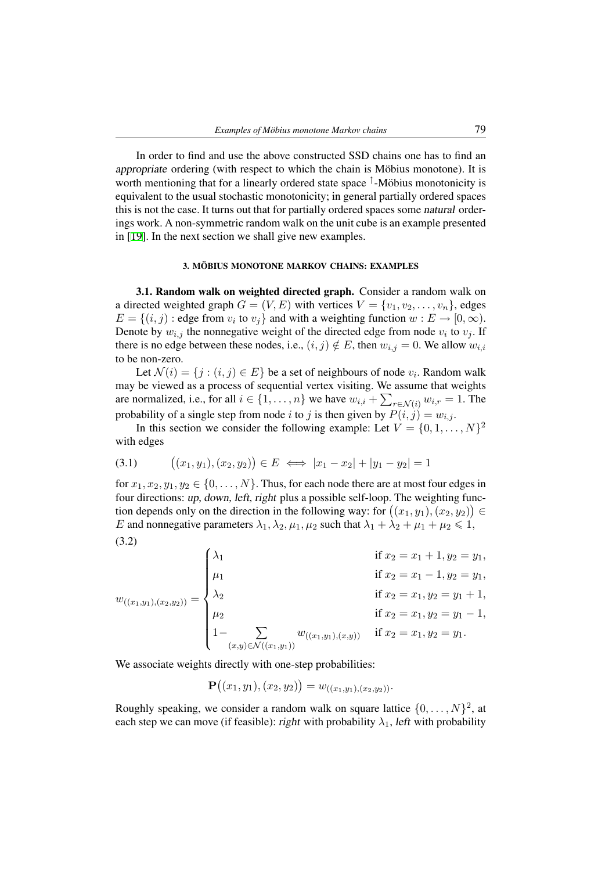In order to find and use the above constructed SSD chains one has to find an appropriate ordering (with respect to which the chain is Möbius monotone). It is worth mentioning that for a linearly ordered state space <sup>↑</sup>-Möbius monotonicity is equivalent to the usual stochastic monotonicity; in general partially ordered spaces this is not the case. It turns out that for partially ordered spaces some natural orderings work. A non-symmetric random walk on the unit cube is an example presented in [19]. In the next section we shall give new examples.

### 3. MÖBIUS MONOTONE MARKOV CHAINS: EXAMPLES

<span id="page-4-0"></span>[3.](#page-22-3)1. Random walk on weighted directed graph. Consider a random walk on a directed weighted graph  $G = (V, E)$  with vertices  $V = \{v_1, v_2, \ldots, v_n\}$ , edges  $E = \{(i, j) : \text{edge from } v_i \text{ to } v_j\}$  and with a weighting function  $w : E \to [0, \infty)$ . Denote by  $w_{i,j}$  the nonnegative weight of the directed edge from node  $v_i$  to  $v_j$ . If there is no edge between these nodes, i.e.,  $(i, j) \notin E$ , then  $w_{i,j} = 0$ . We allow  $w_{i,i}$ to be non-zero.

Let  $\mathcal{N}(i) = \{j : (i, j) \in E\}$  be a set of neighbours of node  $v_i$ . Random walk may be viewed as a process of sequential vertex visiting. We assume that weights are normalized, i.e., for all  $i \in \{1, \ldots, n\}$  we have  $w_{i,i} + \sum_{r \in \mathcal{N}(i)} w_{i,r} = 1$ . The probability of a single step from node *i* to *j* is then given by  $P(i, j) = w_{i,j}$ .

In this section we consider the following example: Let  $V = \{0, 1, \ldots, N\}^2$ with edges

$$
(3.1) \qquad ((x_1, y_1), (x_2, y_2)) \in E \iff |x_1 - x_2| + |y_1 - y_2| = 1
$$

<span id="page-4-1"></span>for  $x_1, x_2, y_1, y_2 \in \{0, \ldots, N\}$ . Thus, for each node there are at most four edges in four directions: up, down, left, right plus a possible self-loop. The weighting function depends only on the direction in the following way: for  $((x_1, y_1), (x_2, y_2)) \in$ *E* and nonnegative parameters  $\lambda_1, \lambda_2, \mu_1, \mu_2$  such that  $\lambda_1 + \lambda_2 + \mu_1 + \mu_2 \leq 1$ , (3.2)

$$
w_{((x_1,y_1),(x_2,y_2))} = \begin{cases} \lambda_1 & \text{if } x_2 = x_1 + 1, y_2 = y_1, \\ \mu_1 & \text{if } x_2 = x_1 - 1, y_2 = y_1, \\ \lambda_2 & \text{if } x_2 = x_1, y_2 = y_1 + 1, \\ \mu_2 & \text{if } x_2 = x_1, y_2 = y_1 - 1, \\ 1 - \sum_{(x,y) \in \mathcal{N}((x_1,y_1))} w_{((x_1,y_1),(x,y))} & \text{if } x_2 = x_1, y_2 = y_1. \end{cases}
$$

<span id="page-4-2"></span>We associate weights directly with one-step probabilities:

$$
\mathbf{P}((x_1,y_1),(x_2,y_2)) = w_{((x_1,y_1),(x_2,y_2))}.
$$

Roughly speaking, we consider a random walk on square lattice  $\{0, \ldots, N\}^2$ , at each step we can move (if feasible): right with probability  $\lambda_1$ , left with probability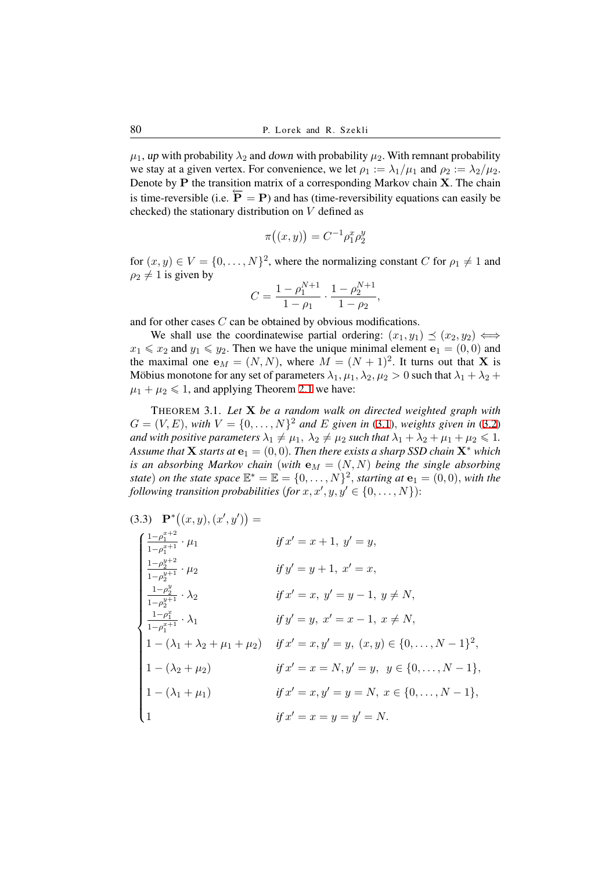$\mu_1$ , up with probability  $\lambda_2$  and down with probability  $\mu_2$ . With remnant probability we stay at a given vertex. For convenience, we let  $\rho_1 := \lambda_1/\mu_1$  and  $\rho_2 := \lambda_2/\mu_2$ . Denote by **P** the transition matrix of a corresponding Markov chain **X**. The chain is time-reversible (i.e.  $\overline{P} = P$ ) and has (time-reversibility equations can easily be checked) the stationary distribution on *V* defined as

$$
\pi\big((x,y)\big) = C^{-1} \rho_1^x \rho_2^y
$$

for  $(x, y) \in V = \{0, \ldots, N\}^2$ , where the normalizing constant *C* for  $\rho_1 \neq 1$  and  $\rho_2 \neq 1$  is given by

$$
C = \frac{1 - \rho_1^{N+1}}{1 - \rho_1} \cdot \frac{1 - \rho_2^{N+1}}{1 - \rho_2},
$$

and for other cases *C* can be obtained by obvious modifications.

We shall use the coordinatewise partial ordering:  $(x_1, y_1) \preceq (x_2, y_2) \iff$  $x_1 \leq x_2$  and  $y_1 \leq y_2$ . Then we have the unique minimal element  $\mathbf{e}_1 = (0,0)$  and the maximal one  $\mathbf{e}_M = (N, N)$ , where  $M = (N + 1)^2$ . It turns out that **X** is Möbius monotone for any set of parameters  $\lambda_1, \mu_1, \lambda_2, \mu_2 > 0$  such that  $\lambda_1 + \lambda_2 + \lambda_3$  $\mu_1 + \mu_2 \leq 1$ , and applying Theorem 2.1 we have:

THEOREM 3.1. *Let* **X** *be a random walk on directed weighted graph with*  $G = (V, E)$ *, with*  $V = \{0, \ldots, N\}^2$  and E given in (3.1)*, weights given in* (3.2) *and with positive parameters*  $\lambda_1 \neq \mu_1$ ,  $\lambda_2 \neq \mu_2$  such that  $\lambda_1 + \lambda_2 + \mu_1 + \mu_2 \leq 1$ . *Assume that* **X** *starts at*  $\mathbf{e}_1 = (0,0)$ *. Then there exists a sharp SSD chain*  $\mathbf{X}^*$  *which is an absorbing Markov chain* (*with*  $\mathbf{e}_M = (N, N)$  *being the single absorbing state*) *on the state space*  $\mathbb{E}^* = \mathbb{E} = \{0, \ldots, N\}^2$ *, star[ting](#page-4-1) at*  $\mathbf{e}_1 = (0, 0)$ *, wit[h the](#page-4-2) following transition probabilities (for*  $x, x', y, y' \in \{0, \ldots, N\}$ ):

$$
(3.3) \quad \mathbf{P}^*((x, y), (x', y')) =
$$
\n
$$
\begin{cases}\n\frac{1-\rho_1^{x+2}}{1-\rho_1^{x+1}} \cdot \mu_1 & \text{if } x' = x+1, y' = y, \\
\frac{1-\rho_2^{y+2}}{1-\rho_2^{y+1}} \cdot \mu_2 & \text{if } y' = y+1, x' = x, \\
\frac{1-\rho_2^{y}}{1-\rho_2^{y+1}} \cdot \lambda_2 & \text{if } x' = x, y' = y-1, y \neq N, \\
\frac{1-\rho_1^{x}}{1-\rho_1^{x+1}} \cdot \lambda_1 & \text{if } y' = y, x' = x-1, x \neq N, \\
1-(\lambda_1 + \lambda_2 + \mu_1 + \mu_2) & \text{if } x' = x, y' = y, (x, y) \in \{0, \dots, N-1\}^2, \\
1-(\lambda_2 + \mu_2) & \text{if } x' = x = N, y' = y, y \in \{0, \dots, N-1\}, \\
1-(\lambda_1 + \mu_1) & \text{if } x' = x, y' = y = N, x \in \{0, \dots, N-1\}, \\
1 & \text{if } x' = x = y = y' = N.\n\end{cases}
$$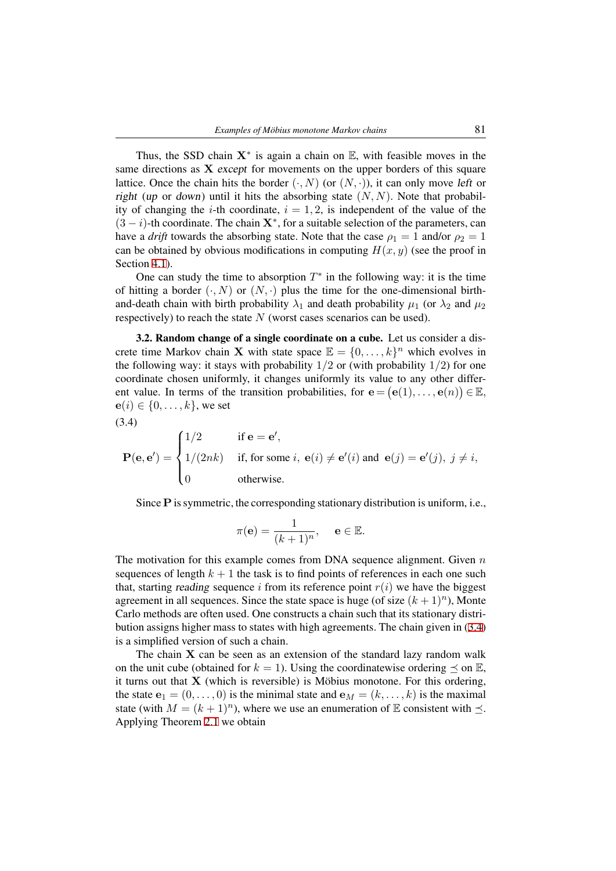Thus, the SSD chain  $X^*$  is again a chain on  $E$ , with feasible moves in the same directions as **X** except for movements on the upper borders of this square lattice. Once the chain hits the border  $(\cdot, N)$  (or  $(N, \cdot)$ ), it can only move left or right (up or down) until it hits the absorbing state  $(N, N)$ . Note that probability of changing the *i*-th coordinate,  $i = 1, 2$ , is independent of the value of the (3 *− i*)-th coordinate. The chain **X***<sup>∗</sup>* , for a suitable selection of the parameters, can have a *drift* towards the absorbing state. Note that the case  $\rho_1 = 1$  and/or  $\rho_2 = 1$ can be obtained by obvious modifications in computing  $H(x, y)$  (see the proof in Section 4.1).

One can study the time to absorption  $T^*$  in the following way: it is the time of hitting a border  $(\cdot, N)$  or  $(N, \cdot)$  plus the time for the one-dimensional birthand-death chain with birth probability  $\lambda_1$  and death probability  $\mu_1$  (or  $\lambda_2$  and  $\mu_2$ ) respecti[vely](#page-15-0)) to reach the state *N* (worst cases scenarios can be used).

3.2. Random change of a single coordinate on a cube. Let us consider a discrete time Markov chain **X** with state space  $\mathbb{E} = \{0, \ldots, k\}^n$  which evolves in the following way: it stays with probability  $1/2$  or (with probability  $1/2$ ) for one coordinate chosen uniformly, it changes uniformly its value to any other different value. In terms of the transition probabilities, for  $e = (e(1), \ldots, e(n)) \in \mathbb{E}$ , **e**(*i*) ∈ {0, . . . , *k*}, we set

$$
(3.4)
$$

$$
\mathbf{P}(\mathbf{e}, \mathbf{e}') = \begin{cases} 1/2 & \text{if } \mathbf{e} = \mathbf{e}', \\ 1/(2nk) & \text{if, for some } i, \mathbf{e}(i) \neq \mathbf{e}'(i) \text{ and } \mathbf{e}(j) = \mathbf{e}'(j), \ j \neq i, \\ 0 & \text{otherwise.} \end{cases}
$$

<span id="page-6-0"></span>Since **P** is symmetric, the corresponding stationary distribution is uniform, i.e.,

$$
\pi(\mathbf{e})=\frac{1}{(k+1)^n},\quad \ \mathbf{e}\in\mathbb{E}.
$$

The motivation for this example comes from DNA sequence alignment. Given *n* sequences of length  $k + 1$  the task is to find points of references in each one such that, starting *reading* sequence *i* from its reference point  $r(i)$  we have the biggest agreement in all sequences. Since the state space is huge (of size  $(k+1)^n$ ), Monte Carlo methods are often used. One constructs a chain such that its stationary distribution assigns higher mass to states with high agreements. The chain given in (3.4) is a simplified version of such a chain.

The chain  $X$  can be seen as an extension of the standard lazy random walk on the unit cube (obtained for  $k = 1$ ). Using the coordinatewise ordering  $\prec$  on  $\mathbb{E}$ , it turns out that  $\bf{X}$  (which is reversible) is Möbius monotone. For this orde[ring](#page-6-0), the state  $\mathbf{e}_1 = (0, \ldots, 0)$  is the minimal state and  $\mathbf{e}_M = (k, \ldots, k)$  is the maximal state (with  $M = (k + 1)^n$ ), where we use an enumeration of E consistent with  $\preceq$ . Applying Theorem 2.1 we obtain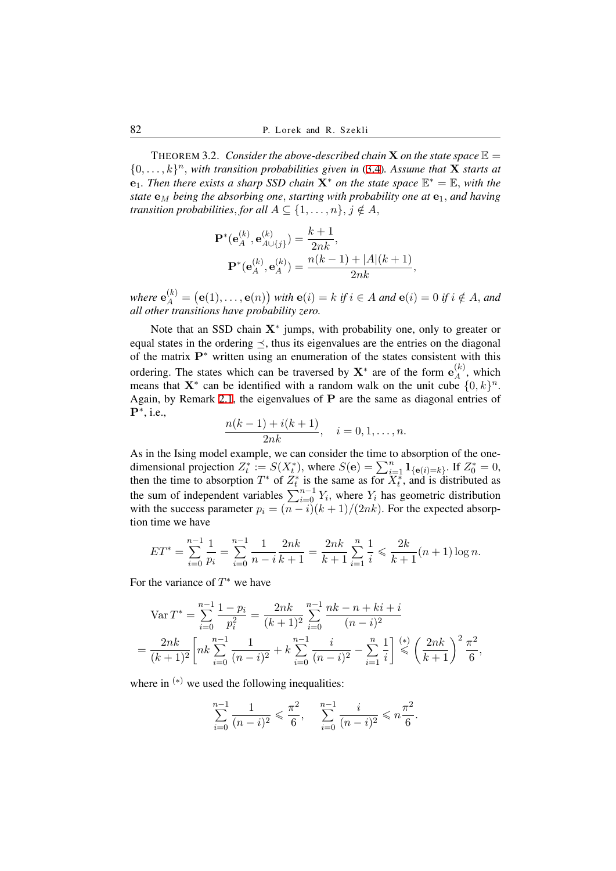<span id="page-7-0"></span>THEOREM 3.2. *Consider the above-described chain* **X** *on the state space*  $\mathbb{E}$  =  $\{0, \ldots, k\}$ <sup>*n*</sup>, *with transition probabilities given in* (3.4)*. Assume that* **X** *starts at* **e**<sub>1</sub>*. Then there exists a sharp SSD chain*  $X^*$  *on the state space*  $\mathbb{E}^* = \mathbb{E}$ *, with the state*  $e_M$  *being the absorbing one, starting with probability one at*  $e_1$ *, and having transition probabilities, for all*  $A \subseteq \{1, \ldots, n\}$ ,  $j \notin A$ ,

$$
\mathbf{P}^*(\mathbf{e}_A^{(k)}, \mathbf{e}_{A \cup \{j\}}^{(k)}) = \frac{k+1}{2nk},
$$
  

$$
\mathbf{P}^*(\mathbf{e}_A^{(k)}, \mathbf{e}_A^{(k)}) = \frac{n(k-1) + |A|(k+1)}{2nk},
$$

where  $e_A^{(k)} = (e(1), \ldots, e(n))$  with  $e(i) = k$  if  $i \in A$  and  $e(i) = 0$  if  $i \notin A$ , and *all other transitions have probability zero.*

Note that an SSD chain **X***<sup>∗</sup>* jumps, with probability one, only to greater or equal states in the ordering *≼*, thus its eigenvalues are the entries on the diagonal of the matrix **P***<sup>∗</sup>* written using an enumeration of the states consistent with this ordering. The states which can be traversed by  $X^*$  are of the form  $e_A^{(k)}$  $A^{(\kappa)}$ , which means that  $\mathbf{X}^*$  can be identified with a random walk on the unit cube  $\{0, k\}^n$ . Again, by Remark 2.1, the eigenvalues of **P** are the same as diagonal entries of **P***<sup>∗</sup>* , i.e.,

$$
\frac{n(k-1) + i(k+1)}{2nk}, \quad i = 0, 1, \dots, n.
$$

As in the Ising mo[del e](#page-2-1)xample, we can consider the time to absorption of the onedimensional projection  $Z_t^* := S(X_t^*)$ , where  $S(\mathbf{e}) = \sum_{i=1}^n \mathbf{1}_{\{\mathbf{e}(i)=k\}}$ . If  $Z_0^* = 0$ , then the time to absorption  $T^*$  of  $Z_t^*$  is the same as for  $X_t^*$ , and is distributed as the sum of independent variables  $\sum_{i=0}^{n-1} Y_i$ , where  $Y_i$  has geometric distribution with the success parameter  $p_i = (n - i)(k + 1)/(2nk)$ . For the expected absorption time we have

$$
ET^* = \sum_{i=0}^{n-1} \frac{1}{p_i} = \sum_{i=0}^{n-1} \frac{1}{n-i} \frac{2nk}{k+1} = \frac{2nk}{k+1} \sum_{i=1}^n \frac{1}{i} \leqslant \frac{2k}{k+1} (n+1) \log n.
$$

For the variance of *T <sup>∗</sup>* we have

$$
\begin{split} \n\text{Var}\,T^* &= \sum_{i=0}^{n-1} \frac{1-p_i}{p_i^2} = \frac{2nk}{(k+1)^2} \sum_{i=0}^{n-1} \frac{nk-n+ki+i}{(n-i)^2} \\ \n&= \frac{2nk}{(k+1)^2} \bigg[ nk \sum_{i=0}^{n-1} \frac{1}{(n-i)^2} + k \sum_{i=0}^{n-1} \frac{i}{(n-i)^2} - \sum_{i=1}^{n} \frac{1}{i} \bigg] \stackrel{(*)}{\leq} \left(\frac{2nk}{k+1}\right)^2 \frac{\pi^2}{6}, \end{split}
$$

where in <sup>(∗)</sup> we used the following inequalities:

$$
\sum_{i=0}^{n-1} \frac{1}{(n-i)^2} \leq \frac{\pi^2}{6}, \quad \sum_{i=0}^{n-1} \frac{i}{(n-i)^2} \leqslant n \frac{\pi^2}{6}.
$$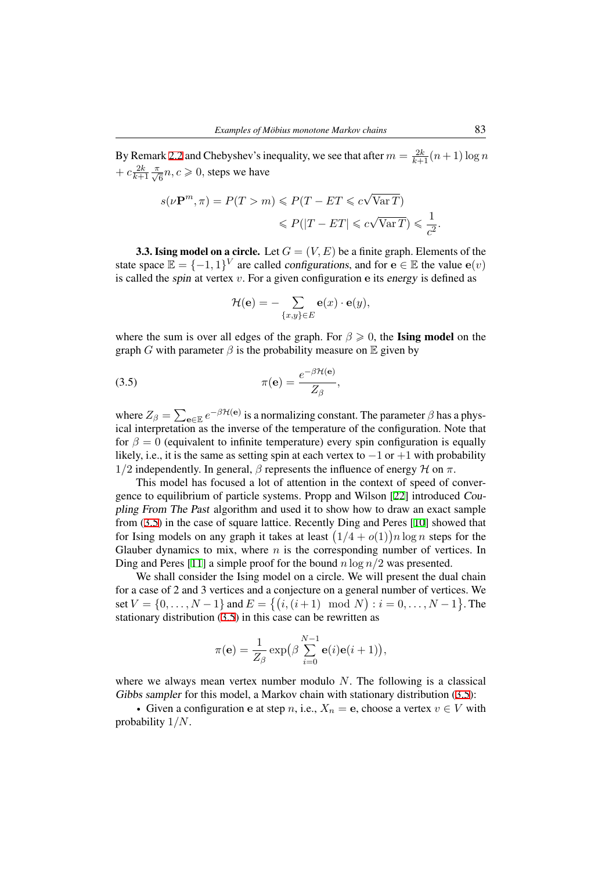By Remark 2.2 and Chebyshev's inequality, we see that after  $m = \frac{2k}{k+1} (n+1) \log n$  $+ c \frac{2k}{k+1} \frac{\pi}{\sqrt{6}} n, c \ge 0$ , steps we have

$$
s(\nu \mathbf{P}^m, \pi) = P(T > m) \leqslant P(T - ET \leqslant c\sqrt{\text{Var }T})
$$
  

$$
\leqslant P(|T - ET| \leqslant c\sqrt{\text{Var }T}) \leqslant \frac{1}{c^2}.
$$

**3.3. Ising model on a circle.** Let  $G = (V, E)$  be a finite graph. Elements of the state space  $\mathbb{E} = \{-1, 1\}^V$  are called configurations, and for  $\mathbf{e} \in \mathbb{E}$  the value  $\mathbf{e}(v)$ is called the spin at vertex *v*. For a given configuration **e** its energy is defined as

<span id="page-8-0"></span>
$$
\mathcal{H}(\mathbf{e}) = -\sum_{\{x,y\} \in E} \mathbf{e}(x) \cdot \mathbf{e}(y),
$$

where the sum is over all edges of the graph. For  $\beta \geq 0$ , the **Ising model** on the graph *G* with parameter  $\beta$  is the probability measure on  $\mathbb E$  given by

(3.5) 
$$
\pi(\mathbf{e}) = \frac{e^{-\beta \mathcal{H}(\mathbf{e})}}{Z_{\beta}},
$$

where  $Z_{\beta} = \sum_{e \in E} e^{-\beta \mathcal{H}(e)}$  is a normalizing constant. The parameter  $\beta$  has a physical interpretation as the inverse of the temperature of the configuration. Note that for  $\beta = 0$  (equivalent to infinite temperature) every spin configuration is equally likely, i.e., it is the same as setting spin at each vertex to *−*1 or +1 with probability 1*/*2 independently. In general, *β* represents the influence of energy *H* on *π*.

This model has focused a lot of attention in the context of speed of convergence to equilibrium of particle systems. Propp and Wilson [22] introduced Coupling From The Past algorithm and used it to show how to draw an exact sample from (3.5) in the case of square lattice. Recently Ding and Peres [10] showed that for Ising models on any graph it takes at least  $(1/4 + o(1))n \log n$  steps for the Glauber dynamics to mix, where *n* is the corresponding nu[mb](#page-22-5)er of vertices. In Ding and Peres [11] a simple proof for the bound *n* log *n/*2 was presented.

[We s](#page-8-0)hall consider the Ising model on a circle. We will prese[nt t](#page-22-6)he dual chain for a case of 2 and 3 vertices and a conjecture on a general number of vertices. We set  $V = \{0, \ldots, N-1\}$  and  $E = \{(i, (i+1) \mod N) : i = 0, \ldots, N-1\}$ . The stationary distri[buti](#page-22-7)on (3.5) in this case can be rewritten as

$$
\pi(\mathbf{e}) = \frac{1}{Z_{\beta}} \exp\left(\beta \sum_{i=0}^{N-1} \mathbf{e}(i)\mathbf{e}(i+1)\right),\,
$$

where we always mean vertex number modulo *N*. The following is a classical Gibbs sampler for this model, a Markov chain with stationary distribution  $(3.5)$ :

• Given a configuration **e** at step *n*, i.e.,  $X_n = e$ , choose a vertex  $v \in V$  with probability 1*/N*.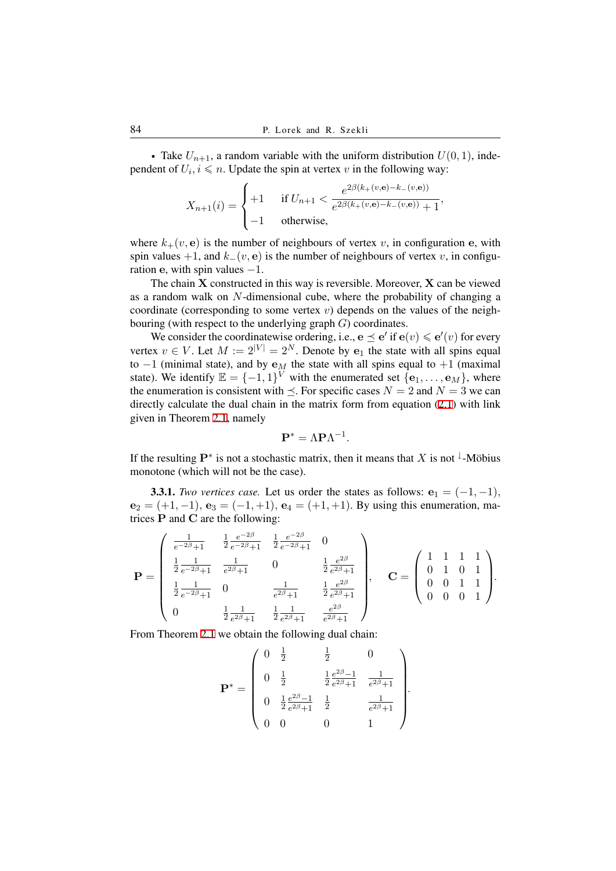• Take  $U_{n+1}$ , a random variable with the uniform distribution  $U(0, 1)$ , independent of  $U_i$ ,  $i \le n$ . Update the spin at vertex  $v$  in the following way:

$$
X_{n+1}(i) = \begin{cases} +1 & \text{if } U_{n+1} < \frac{e^{2\beta(k + (v, \mathbf{e}) - k - (v, \mathbf{e}))}}{e^{2\beta(k + (v, \mathbf{e}) - k - (v, \mathbf{e}))} + 1}, \\ -1 & \text{otherwise,} \end{cases}
$$

where  $k_{+}(v, e)$  is the number of neighbours of vertex *v*, in configuration *e*, with spin values +1, and  $k$ <sup>−</sup>(*v*, **e**) is the number of neighbours of vertex *v*, in configuration **e**, with spin values *−*1.

The chain **X** constructed in this way is reversible. Moreover, **X** can be viewed as a random walk on *N*-dimensional cube, where the probability of changing a coordinate (corresponding to some vertex  $v$ ) depends on the values of the neighbouring (with respect to the underlying graph *G*) coordinates.

We consider the coordinatewise ordering, i.e.,  $\mathbf{e} \preceq \mathbf{e}'$  if  $\mathbf{e}(v) \leq \mathbf{e}'(v)$  for every vertex  $v \in V$ . Let  $M := 2^{|V|} = 2^N$ . Denote by  $e_1$  the state with all spins equal to *−*1 (minimal state), and by **e***<sup>M</sup>* the state with all spins equal to +1 (maximal state). We identify  $\mathbb{E} = \{-1, 1\}^V$  with the enumerated set  $\{\mathbf{e}_1, \dots, \mathbf{e}_M\}$ , where the enumeration is consistent with  $\leq$ . For specific cases  $N = 2$  and  $N = 3$  we can directly calculate the dual chain in the matrix form from equation (2.1) with link given in Theorem 2.1, namely

$$
\mathbf{P}^* = \Lambda \mathbf{P} \Lambda^{-1}.
$$

If the resulting  $\mathbf{P}^*$  is [not](#page-2-0) a stochastic matrix, then it means that *X* is not <sup> $\downarrow$ </sup>-Möbius monotone (which [wil](#page-3-0)l not be the case).

3.3.1. *Two vertices case.* Let us order the states as follows:  $e_1 = (-1, -1)$ ,  $e_2 = (+1, -1), e_3 = (-1, +1), e_4 = (+1, +1).$  By using this enumeration, matrices **P** and **C** are the following:

$$
\mathbf{P} = \begin{pmatrix} \frac{1}{e^{-2\beta}+1} & \frac{1}{2} \frac{e^{-2\beta}}{e^{-2\beta}+1} & \frac{1}{2} \frac{e^{-2\beta}}{e^{-2\beta}+1} & 0 \\ \frac{1}{2} \frac{1}{e^{-2\beta}+1} & \frac{1}{e^{2\beta}+1} & 0 & \frac{1}{2} \frac{e^{2\beta}}{e^{2\beta}+1} \\ \frac{1}{2} \frac{1}{e^{-2\beta}+1} & 0 & \frac{1}{e^{2\beta}+1} & \frac{1}{2} \frac{e^{2\beta}}{e^{2\beta}+1} \\ 0 & \frac{1}{2} \frac{1}{e^{2\beta}+1} & \frac{1}{2} \frac{1}{e^{2\beta}+1} & \frac{e^{2\beta}}{e^{2\beta}+1} \end{pmatrix}, \quad \mathbf{C} = \begin{pmatrix} 1 & 1 & 1 & 1 \\ 0 & 1 & 0 & 1 \\ 0 & 0 & 1 & 1 \\ 0 & 0 & 0 & 1 \end{pmatrix}.
$$

From Theorem 2.1 we obtain the following dual chain:

$$
\mathbf{P}^* = \begin{pmatrix} 0 & \frac{1}{2} & \frac{1}{2} & 0 \\ 0 & \frac{1}{2} & \frac{1}{2} \frac{e^{2\beta}-1}{e^{2\beta}+1} & \frac{1}{e^{2\beta}+1} \\ 0 & \frac{1}{2} \frac{e^{2\beta}-1}{e^{2\beta}+1} & \frac{1}{2} & \frac{1}{e^{2\beta}+1} \\ 0 & 0 & 0 & 1 \end{pmatrix}.
$$

*.*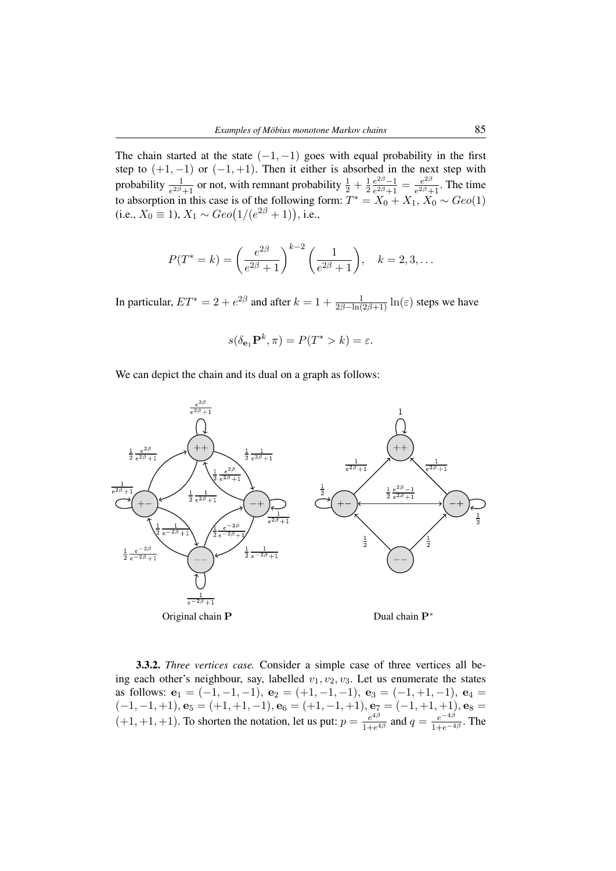The chain started at the state  $(-1, -1)$  goes with equal probability in the first step to  $(+1, -1)$  or  $(-1, +1)$ . Then it either is absorbed in the next step with probability  $\frac{1}{e^{2\beta}+1}$  or not, with remnant probability  $\frac{1}{2} + \frac{1}{2}$ 2 *e* <sup>2</sup>*β−*1  $\frac{e^{2\beta}-1}{e^{2\beta}+1}=\frac{e^{2\beta}}{e^{2\beta}+1}$  $\frac{e^{2\beta}}{e^{2\beta}+1}$ . The time to absorption in this case is of the following form:  $T^* = X_0 + X_1, X_0 \sim Geo(1)$ (i.e.,  $X_0 \equiv 1$ ),  $X_1 \sim Geo(1/(e^{2\beta} + 1))$ , i.e.,

$$
P(T^* = k) = \left(\frac{e^{2\beta}}{e^{2\beta} + 1}\right)^{k-2} \left(\frac{1}{e^{2\beta} + 1}\right), \quad k = 2, 3, \dots
$$

In particular,  $ET^* = 2 + e^{2\beta}$  and after  $k = 1 + \frac{1}{2\beta - \ln(2\beta + 1)} \ln(\varepsilon)$  steps we have

$$
s(\delta_{\mathbf{e}_1} \mathbf{P}^k, \pi) = P(T^* > k) = \varepsilon.
$$

We can depict the chain and its dual on a graph as follows:



3.3.2. *Three vertices case.* Consider a simple case of three vertices all being each other's neighbour, say, labelled  $v_1, v_2, v_3$ . Let us enumerate the states as follows:  $e_1 = (-1, -1, -1)$ ,  $e_2 = (+1, -1, -1)$ ,  $e_3 = (-1, +1, -1)$ ,  $e_4 =$ (*−*1*, −*1*,* +1)*,* **e**<sup>5</sup> = (+1*,* +1*, −*1)*,* **e**<sup>6</sup> = (+1*, −*1*,* +1)*,* **e**<sup>7</sup> = (*−*1*,* +1*,* +1)*,* **e**<sup>8</sup> =  $(+1, +1, +1)$ . To shorten the notation, let us put:  $p = \frac{e^{4\beta}}{1 + e^{6\beta}}$  $\frac{e^{4\beta}}{1+e^{4\beta}}$  and  $q = \frac{e^{-4\beta}}{1+e^{-\beta}}$  $\frac{e^{-4\beta}}{1+e^{-4\beta}}$ . The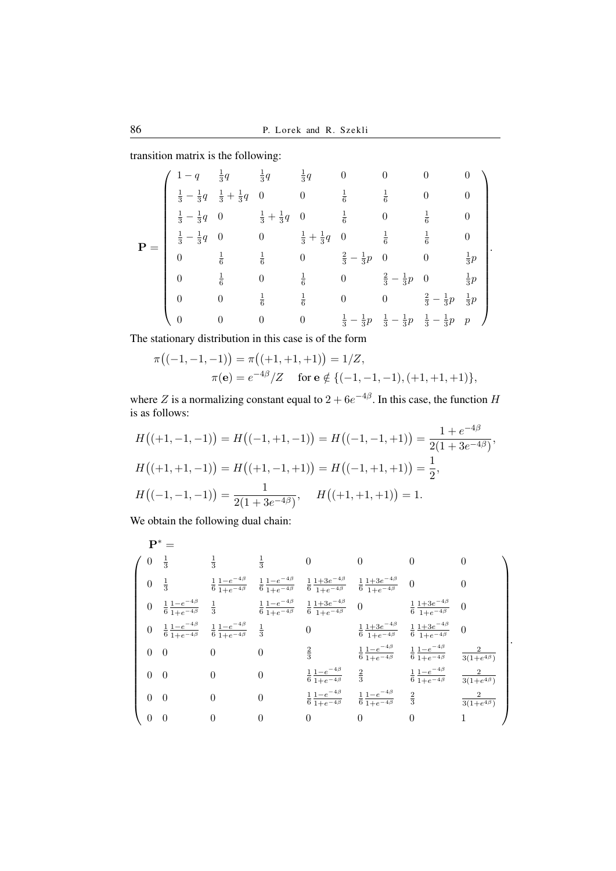transition matrix is the following:

$$
\mathbf{P} = \begin{pmatrix} 1-q & \frac{1}{3}q & \frac{1}{3}q & \frac{1}{3}q & 0 & 0 & 0 & 0 \\ \frac{1}{3}-\frac{1}{3}q & \frac{1}{3}+\frac{1}{3}q & 0 & 0 & \frac{1}{6} & \frac{1}{6} & 0 & 0 \\ \frac{1}{3}-\frac{1}{3}q & 0 & \frac{1}{3}+\frac{1}{3}q & 0 & \frac{1}{6} & 0 & \frac{1}{6} & 0 \\ \frac{1}{3}-\frac{1}{3}q & 0 & 0 & \frac{1}{3}+\frac{1}{3}q & 0 & \frac{1}{6} & \frac{1}{6} & 0 \\ 0 & \frac{1}{6} & \frac{1}{6} & 0 & \frac{2}{3}-\frac{1}{3}p & 0 & 0 & \frac{1}{3}p \\ 0 & \frac{1}{6} & 0 & \frac{1}{6} & 0 & \frac{2}{3}-\frac{1}{3}p & 0 & \frac{1}{3}p \\ 0 & 0 & \frac{1}{6} & \frac{1}{6} & 0 & 0 & \frac{2}{3}-\frac{1}{3}p & \frac{1}{3}p \\ 0 & 0 & 0 & 0 & \frac{1}{3}-\frac{1}{3}p & \frac{1}{3}-\frac{1}{3}p & p \end{pmatrix}.
$$

The stationary distribution in this case is of the form

$$
\pi((-1,-1,-1)) = \pi((-1,+1,+1)) = 1/Z,
$$
  
\n
$$
\pi(\mathbf{e}) = e^{-4\beta}/Z \quad \text{for } \mathbf{e} \notin \{(-1,-1,-1), (+1,+1,+1)\},
$$

where *Z* is a normalizing constant equal to  $2 + 6e^{-4\beta}$ . In this case, the function *H* is as follows:

$$
H((+1,-1,-1)) = H((-1,+1,-1)) = H((-1,-1,+1)) = \frac{1 + e^{-4\beta}}{2(1 + 3e^{-4\beta})},
$$
  
\n
$$
H((+1,+1,-1)) = H((+1,-1,+1)) = H((-1,+1,+1)) = \frac{1}{2},
$$
  
\n
$$
H((-1,-1,-1)) = \frac{1}{2(1 + 3e^{-4\beta})}, \quad H((+1,+1,+1)) = 1.
$$

We obtain the following dual chain:

$$
\mathbf{P}^* = \begin{pmatrix}\n0 & \frac{1}{3} & \frac{1}{3} & \frac{1}{3} & 0 & 0 & 0 & 0 \\
0 & \frac{1}{3} & \frac{1}{6} & \frac{1-e^{-4\beta}}{1+e^{-4\beta}} & \frac{1}{6} & \frac{1+3e^{-4\beta}}{1+e^{-4\beta}} & \frac{1+3e^{-4\beta}}{6} & \frac{1+3e^{-4\beta}}{1+e^{-4\beta}} & 0 & 0 \\
0 & \frac{1}{6} & \frac{1-e^{-4\beta}}{1+e^{-4\beta}} & \frac{1}{3} & \frac{1}{6} & \frac{1-e^{-4\beta}}{1+e^{-4\beta}} & \frac{1+3e^{-4\beta}}{1+e^{-4\beta}} & 0 & \frac{1+3e^{-4\beta}}{6} & 0 \\
0 & \frac{1}{6} & \frac{1-e^{-4\beta}}{1+e^{-4\beta}} & \frac{1}{6} & \frac{1-e^{-4\beta}}{1+e^{-4\beta}} & \frac{1+3e^{-4\beta}}{1+e^{-4\beta}} & \frac{1+3e^{-4\beta}}{6} & \frac{1+3e^{-4\beta}}{1+e^{-4\beta}} & 0 \\
0 & 0 & 0 & 0 & \frac{2}{3} & \frac{1}{6} & \frac{1-e^{-4\beta}}{1+e^{-4\beta}} & \frac{1}{6} & \frac{1-e^{-4\beta}}{1+e^{-4\beta}} & \frac{2}{3(1+e^{4\beta})} \\
0 & 0 & 0 & 0 & \frac{1}{6} & \frac{1-e^{-4\beta}}{1+e^{-4\beta}} & \frac{2}{3} & \frac{1}{6} & \frac{1-e^{-4\beta}}{1+e^{-4\beta}} & \frac{2}{3(1+e^{4\beta})} \\
0 & 0 & 0 & 0 & \frac{1}{6} & \frac{1-e^{-4\beta}}{1+e^{-4\beta}} & \frac{2}{6} & \frac{1}{1+e^{-4\beta}} & \frac{2}{3} & \frac{2}{3(1+e^{4\beta})} \\
0 & 0 & 0 & 0 & 0 & 0 & 0 & 0 & 1\n\end{pmatrix}
$$

*.*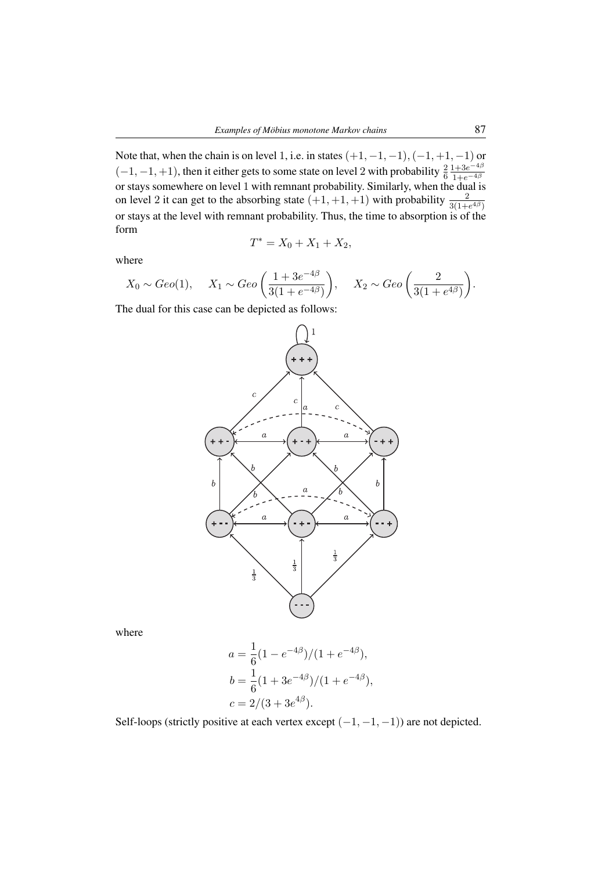Note that, when the chain is on level 1, i.e. in states (+1*, −*1*, −*1)*,*(*−*1*,* +1*, −*1) or  $(-1, -1, +1)$ , then it either gets to some state on level 2 with probability  $\frac{2}{6}$  $1+3e^{-4\beta}$ or stays somewhere on level 1 with remnant probability. Similarly, when the dual is on level 2 it can get to the absorbing state  $(+1, +1, +1)$  with probability  $\frac{2}{3(1+e^{4\beta})}$ or stays at the level with remnant probability. Thus, the time to absorption is of the form

$$
T^* = X_0 + X_1 + X_2,
$$

where

$$
X_0 \sim Geo(1)
$$
,  $X_1 \sim Geo\left(\frac{1+3e^{-4\beta}}{3(1+e^{-4\beta})}\right)$ ,  $X_2 \sim Geo\left(\frac{2}{3(1+e^{4\beta})}\right)$ .

The dual for this case can be depicted as follows:



where

$$
a = \frac{1}{6}(1 - e^{-4\beta})/(1 + e^{-4\beta}),
$$
  
\n
$$
b = \frac{1}{6}(1 + 3e^{-4\beta})/(1 + e^{-4\beta}),
$$
  
\n
$$
c = 2/(3 + 3e^{4\beta}).
$$

Self-loops (strictly positive at each vertex except (*−*1*, −*1*, −*1)) are not depicted.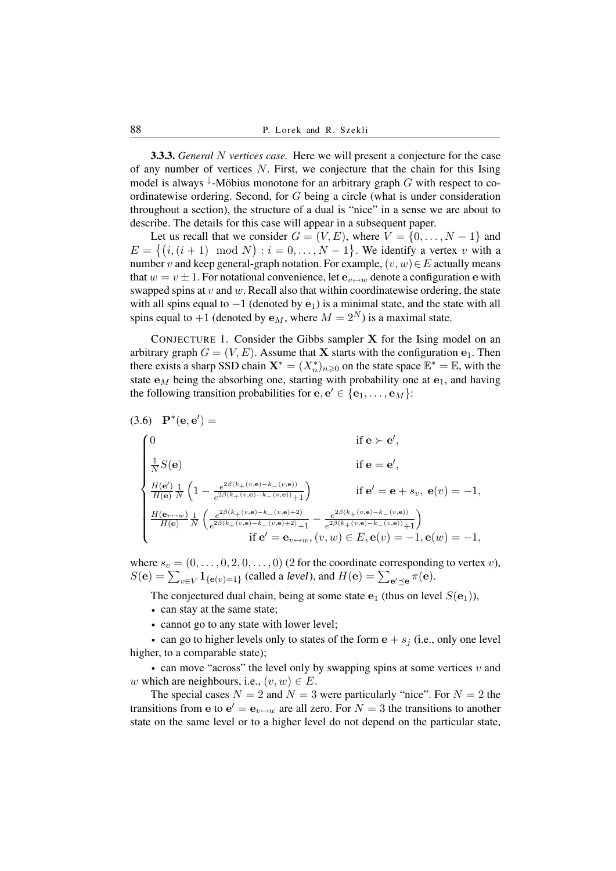3.3.3. *General N vertices case.* Here we will present a conjecture for the case of any number of vertices *N*. First, we conjecture that the chain for this Ising model is always <sup>↓</sup>-Möbius monotone for an arbitrary graph G with respect to coordinatewise ordering. Second, for *G* being a circle (what is under consideration throughout a section), the structure of a dual is "nice" in a sense we are about to describe. The details for this case will appear in a subsequent paper.

Let us recall that we consider  $G = (V, E)$ , where  $V = \{0, \ldots, N - 1\}$  and  $E = \{(i, (i+1) \mod N) : i = 0, \ldots, N-1\}$ . We identify a vertex *v* with a number *v* and keep general-graph notation. For example, (*v, w*)*∈E* actually means that  $w = v \pm 1$ . For notational convenience, let  $e_{v \leftrightarrow w}$  denote a configuration e with swapped spins at *v* and *w*. Recall also that within coordinatewise ordering, the state with all spins equal to *−*1 (denoted by **e**1) is a minimal state, and the state with all spins equal to  $+1$  (denoted by  $\mathbf{e}_M$ , where  $M = 2^N$ ) is a maximal state.

CONJECTURE 1. Consider the Gibbs sampler **X** for the Ising model on an arbitrary graph  $G = (V, E)$ . Assume that **X** starts with the configuration  $e_1$ . Then there exists a sharp SSD chain  $\mathbf{X}^* = (X_n^*)_{n \geq 0}$  on the state space  $\mathbb{E}^* = \mathbb{E}$ , with the state **e***<sup>M</sup>* being the absorbing one, starting with probability one at **e**1, and having the following transition probabilities for  $e, e' \in \{e_1, \ldots, e_M\}$ :

(3.6) 
$$
\mathbf{P}^*(\mathbf{e}, \mathbf{e}') =
$$
  
\n
$$
\begin{cases}\n0 & \text{if } \mathbf{e} \succ \mathbf{e}', \\
\frac{1}{N}S(\mathbf{e}) & \text{if } \mathbf{e} = \mathbf{e}', \\
\frac{H(\mathbf{e}')}{H(\mathbf{e})} \frac{1}{N} \left(1 - \frac{e^{2\beta(k_+(v,\mathbf{e}) - k_-(v,\mathbf{e}))}}{e^{2\beta(k_+(v,\mathbf{e}) - k_-(v,\mathbf{e}))} + 1}\right) & \text{if } \mathbf{e}' = \mathbf{e} + s_v, \ \mathbf{e}(v) = -1, \\
\frac{H(\mathbf{e}_v \leftrightarrow w)}{H(\mathbf{e})} \frac{1}{N} \left( \frac{e^{2\beta(k_+(v,\mathbf{e}) - k_-(v,\mathbf{e}) + 2)}}{e^{2\beta(k_+(v,\mathbf{e}) - k_-(v,\mathbf{e}) + 2)} + 1} - \frac{e^{2\beta(k_+(v,\mathbf{e}) - k_-(v,\mathbf{e}))}}{e^{2\beta(k_+(v,\mathbf{e}) - k_-(v,\mathbf{e}))} + 1} \right) \\
\text{if } \mathbf{e}' = \mathbf{e}_{v \leftrightarrow w}, (v, w) \in E, \mathbf{e}(v) = -1, \mathbf{e}(w) = -1,\n\end{cases}
$$

where  $s_v = (0, \ldots, 0, 2, 0, \ldots, 0)$  (2 for the coordinate corresponding to vertex *v*),  $S(\mathbf{e}) = \sum_{v \in V} \mathbf{1}_{\{\mathbf{e}(v)=1\}}$  (called a *level*), and  $H(\mathbf{e}) = \sum_{\mathbf{e}' \preceq \mathbf{e}} \pi(\mathbf{e})$ .

The conjectured dual chain, being at some state  $\mathbf{e}_1$  (thus on level  $S(\mathbf{e}_1)$ ),

- *•* can stay at the same state;
- *•* cannot go to any state with lower level;

• can go to higher levels only to states of the form  $e + s_j$  (i.e., only one level higher, to a comparable state);

*•* can move "across" the level only by swapping spins at some vertices *v* and *w* which are neighbours, i.e.,  $(v, w) \in E$ .

The special cases  $N = 2$  and  $N = 3$  were particularly "nice". For  $N = 2$  the transitions from **e** to  $e' = e_{v \leftrightarrow w}$  are all zero. For  $N = 3$  the transitions to another state on the same level or to a higher level do not depend on the particular state,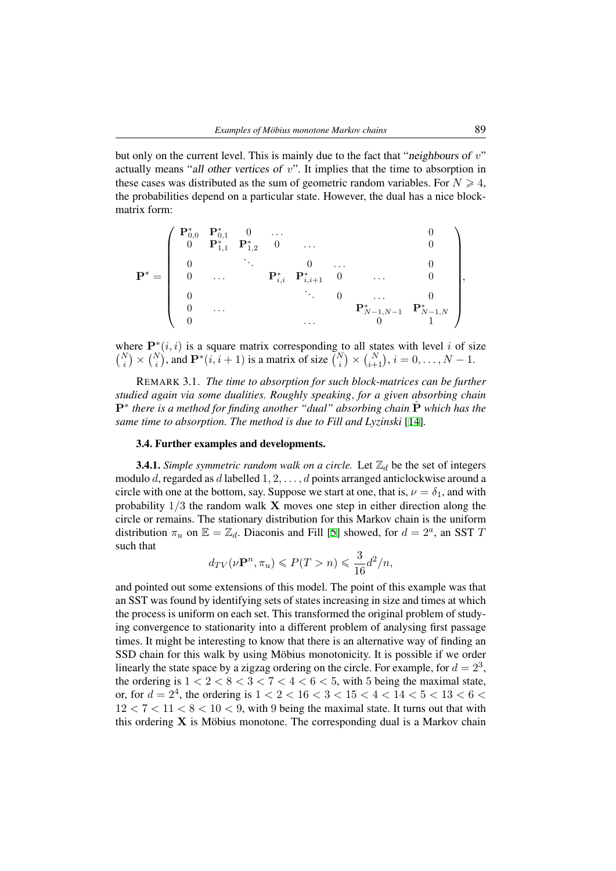but only on the current level. This is mainly due to the fact that "neighbours of *v*" actually means "all other vertices of *v*". It implies that the time to absorption in these cases was distributed as the sum of geometric random variables. For  $N \geq 4$ , the probabilities depend on a particular state. However, the dual has a nice blockmatrix form:

$$
\mathbf{P}^* = \left( \begin{array}{ccccc} \mathbf{P}^*_{0,0} & \mathbf{P}^*_{0,1} & 0 & \dots & & & 0 \\ 0 & \mathbf{P}^*_{1,1} & \mathbf{P}^*_{1,2} & 0 & \dots & & & 0 \\ 0 & & \ddots & & 0 & \dots & & 0 \\ 0 & & \dots & & \mathbf{P}^*_{i,i} & \mathbf{P}^*_{i,i+1} & 0 & \dots & & 0 \\ 0 & & & \ddots & & 0 & \dots & & 0 \\ 0 & & & & & \mathbf{P}^*_{N-1,N-1} & \mathbf{P}^*_{N-1,N} \\ 0 & & & & & \dots & & 0 \\ \end{array} \right),
$$

where  $\mathbf{P}^*(i, i)$  is a square matrix corresponding to all states with level *i* of size  $\binom{N}{i} \times \binom{N}{i}$ , and  $\mathbf{P}^*(i, i+1)$  is a matrix of size  $\binom{N}{i} \times \binom{N}{i+1}$ ,  $i = 0, \ldots, N-1$ .

REMARK 3.1. *The time to absorption for such block-matrices can be further studied again via some dualities. Roughly speaking, for a given absorbing chain* **P**<sup>∗</sup> there is a method for finding another "dual" absorbing chain  $\hat{P}$  which has the *same time to absorption. The method is due to Fill and Lyzinski* [14]*.*

### 3.4. Further examples and developments.

**3.4.1.** *Simple symmetric random walk on a circle.* Let  $\mathbb{Z}_d$  be the set of integers modulo *d*, regarded as *d* labelled 1*,* 2*, . . . , d* points arranged anticl[ock](#page-22-8)wise around a circle with one at the bottom, say. Suppose we start at one, that is,  $\nu = \delta_1$ , and with probability 1*/*3 the random walk **X** moves one step in either direction along the circle or remains. The stationary distribution for this Markov chain is the uniform distribution  $\pi_u$  on  $\mathbb{E} = \mathbb{Z}_d$ . Diaconis and Fill [5] showed, for  $d = 2^a$ , an SST *T* such that

$$
d_{TV}(\nu \mathbf{P}^n, \pi_u) \leqslant P(T > n) \leqslant \frac{3}{16} d^2/n,
$$

and pointed out some extensions of this model. [T](#page-21-3)he point of this example was that an SST was found by identifying sets of states increasing in size and times at which the process is uniform on each set. This transformed the original problem of studying convergence to stationarity into a different problem of analysing first passage times. It might be interesting to know that there is an alternative way of finding an SSD chain for this walk by using Möbius monotonicity. It is possible if we order linearly the state space by a zigzag ordering on the circle. For example, for  $d = 2^3$ , the ordering is  $1 < 2 < 8 < 3 < 7 < 4 < 6 < 5$ , with 5 being the maximal state, or, for  $d = 2^4$ , the ordering is  $1 < 2 < 16 < 3 < 15 < 4 < 14 < 5 < 13 < 6 <$  $12 < 7 < 11 < 8 < 10 < 9$ , with 9 being the maximal state. It turns out that with this ordering  $\bf{X}$  is Möbius monotone. The corresponding dual is a Markov chain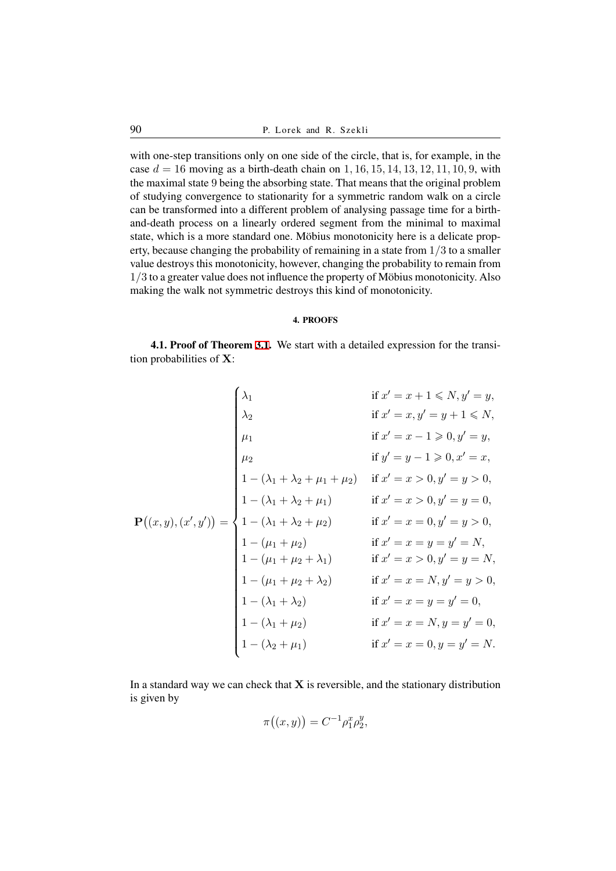with one-step transitions only on one side of the circle, that is, for example, in the case  $d = 16$  moving as a birth-death chain on 1, 16, 15, 14, 13, 12, 11, 10, 9, with the maximal state 9 being the absorbing state. That means that the original problem of studying convergence to stationarity for a symmetric random walk on a circle can be transformed into a different problem of analysing passage time for a birthand-death process on a linearly ordered segment from the minimal to maximal state, which is a more standard one. Möbius monotonicity here is a delicate property, because changing the probability of remaining in a state from 1*/*3 to a smaller value destroys this monotonicity, however, changing the probability to remain from  $1/3$  to a greater value does not influence the property of Möbius monotonicity. Also making the walk not symmetric destroys this kind of monotonicity.

### 4. PROOFS

4.1. Proof of Theorem 3.1. We start with a detailed expression for the transition probabilities of **X**:

<span id="page-15-0"></span>
$$
\mathbf{P}((x, y), (x', y')) = \begin{cases}\n\lambda_1 & \text{if } x' = x + 1 \le N, y' = y, \\
\lambda_2 & \text{if } x' = x, y' = y + 1 \le N, \\
\mu_1 & \text{if } x' = x - 1 \ge 0, y' = y, \\
\mu_2 & \text{if } y' = y - 1 \ge 0, x' = x, \\
1 - (\lambda_1 + \lambda_2 + \mu_1 + \mu_2) & \text{if } x' = x > 0, y' = y > 0, \\
1 - (\lambda_1 + \lambda_2 + \mu_1) & \text{if } x' = x > 0, y' = y = 0, \\
1 - (\lambda_1 + \lambda_2 + \mu_2) & \text{if } x' = x = 0, y' = y > 0, \\
1 - (\mu_1 + \mu_2) & \text{if } x' = x = y = y' = N, \\
1 - (\mu_1 + \mu_2 + \lambda_1) & \text{if } x' = x > 0, y' = y = N, \\
1 - (\lambda_1 + \lambda_2) & \text{if } x' = x = N, y' = y > 0, \\
1 - (\lambda_1 + \lambda_2) & \text{if } x' = x = y = y' = 0, \\
1 - (\lambda_1 + \mu_2) & \text{if } x' = x = y = y' = 0, \\
1 - (\lambda_2 + \mu_1) & \text{if } x' = x = 0, y = y' = N.\n\end{cases}
$$

In a standard way we can check that **X** is reversible, and the stationary distribution is given by

$$
\pi((x,y)) = C^{-1} \rho_1^x \rho_2^y,
$$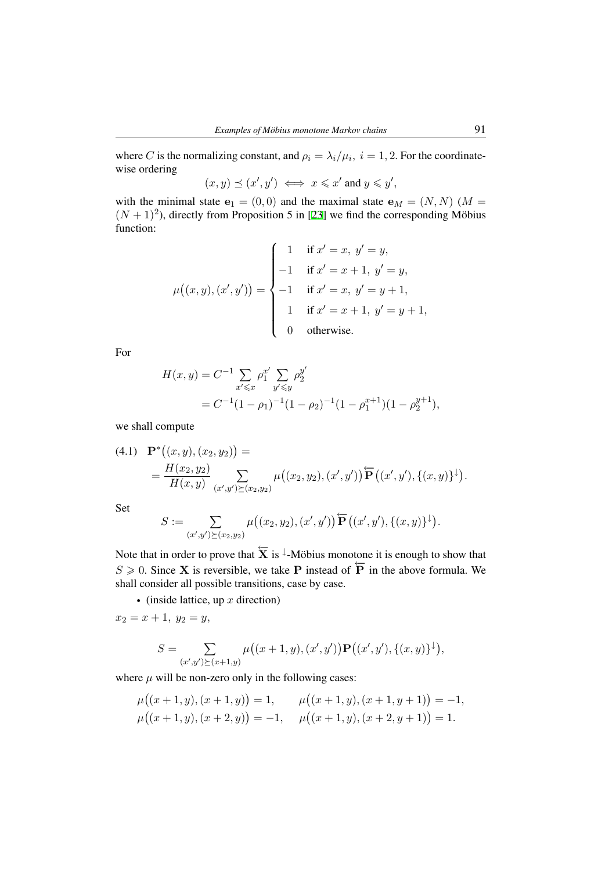where *C* is the normalizing constant, and  $\rho_i = \lambda_i / \mu_i$ ,  $i = 1, 2$ . For the coordinatewise ordering

 $(x, y) \preceq (x', y') \iff x \leq x' \text{ and } y \leq y',$ 

with the minimal state  $\mathbf{e}_1 = (0,0)$  and the maximal state  $\mathbf{e}_M = (N, N)$  ( $M =$  $(N + 1)^2$ ), directly from Proposition 5 in [23] we find the corresponding Möbius function:

$$
\mu((x, y), (x', y')) = \begin{cases}\n1 & \text{if } x' = x, y' = y, \\
-1 & \text{if } x' = x + 1, y' = y, \\
-1 & \text{if } x' = x, y' = y + 1, \\
1 & \text{if } x' = x + 1, y' = y + 1, \\
0 & \text{otherwise.} \n\end{cases}
$$

For

$$
H(x,y) = C^{-1} \sum_{x' \leq x} \rho_1^{x'} \sum_{y' \leq y} \rho_2^{y'}
$$
  
= C^{-1} (1 - \rho\_1)^{-1} (1 - \rho\_2)^{-1} (1 - \rho\_1^{x+1}) (1 - \rho\_2^{y+1}),

we shall compute

(4.1) 
$$
\mathbf{P}^*((x,y),(x_2,y_2)) =
$$
  
= 
$$
\frac{H(x_2,y_2)}{H(x,y)} \sum_{(x',y') \succeq (x_2,y_2)} \mu((x_2,y_2),(x',y')) \widetilde{\mathbf{P}}((x',y'),\{(x,y)\}^{\downarrow}).
$$

Set

$$
S := \sum_{(x',y') \succeq (x_2,y_2)} \mu((x_2,y_2),(x',y')) \overleftarrow{\mathbf{P}}((x',y'),\{(x,y)\}^{\downarrow}).
$$

Note that in order to prove that  $\overleftarrow{\mathbf{X}}$  is <sup>⊥</sup>-Möbius monotone it is enough to show that  $S \ge 0$ . Since **X** is reversible, we take **P** instead of  $\overline{P}$  in the above formula. We shall consider all possible transitions, case by case.

*•* (inside lattice, up *x* direction)

 $x_2 = x + 1, y_2 = y,$ 

$$
S = \sum_{(x',y')\geq (x+1,y)} \mu((x+1,y),(x',y')) \mathbf{P}((x',y'),\{(x,y)\}^{\downarrow}),
$$

where  $\mu$  will be non-zero only in the following cases:

$$
\mu((x+1,y),(x+1,y)) = 1, \qquad \mu((x+1,y),(x+1,y+1)) = -1, \n\mu((x+1,y),(x+2,y)) = -1, \qquad \mu((x+1,y),(x+2,y+1)) = 1.
$$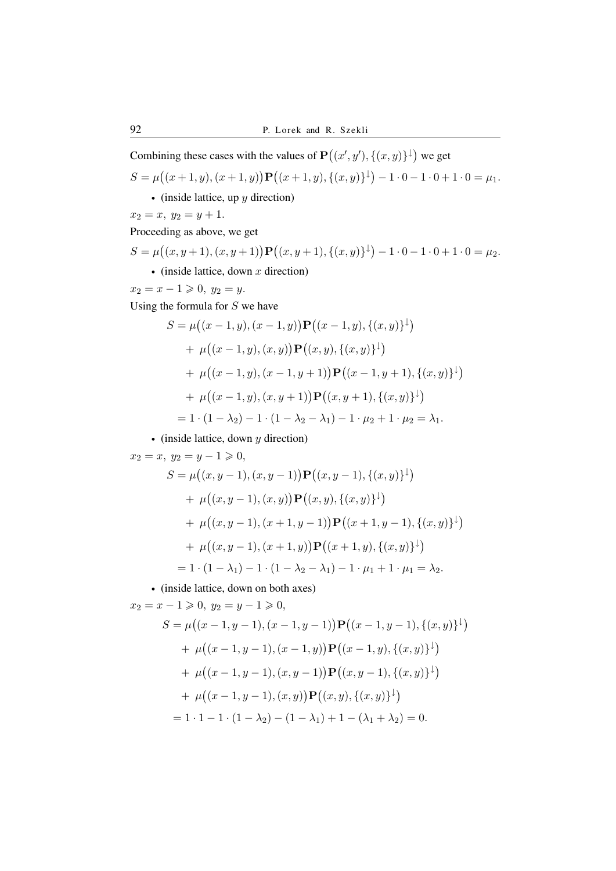Combining these cases with the values of  $\mathbf{P}((x', y'), \{(x, y)\}^{\downarrow})$  we get

$$
S = \mu((x+1, y), (x+1, y)) \mathbf{P}((x+1, y), \{(x, y)\}^{\downarrow}) - 1 \cdot 0 - 1 \cdot 0 + 1 \cdot 0 = \mu_1.
$$

*•* (inside lattice, up *y* direction)

 $x_2 = x, y_2 = y + 1.$ 

Proceeding as above, we get

$$
S = \mu((x, y + 1), (x, y + 1)) \mathbf{P}((x, y + 1), \{(x, y)\}^{\downarrow}) - 1 \cdot 0 - 1 \cdot 0 + 1 \cdot 0 = \mu_2.
$$
  
• (inside lattice, down *x* direction)

 $x_2 = x - 1 \geq 0, y_2 = y.$ 

Using the formula for *S* we have

$$
S = \mu((x - 1, y), (x - 1, y)) \mathbf{P}((x - 1, y), \{(x, y)\}^{\downarrow})
$$
  
+  $\mu((x - 1, y), (x, y)) \mathbf{P}((x, y), \{(x, y)\}^{\downarrow})$   
+  $\mu((x - 1, y), (x - 1, y + 1)) \mathbf{P}((x - 1, y + 1), \{(x, y)\}^{\downarrow})$   
+  $\mu((x - 1, y), (x, y + 1)) \mathbf{P}((x, y + 1), \{(x, y)\}^{\downarrow})$   
=  $1 \cdot (1 - \lambda_2) - 1 \cdot (1 - \lambda_2 - \lambda_1) - 1 \cdot \mu_2 + 1 \cdot \mu_2 = \lambda_1.$ 

*•* (inside lattice, down *y* direction)

 $x_2 = x, y_2 = y - 1 \geq 0,$ 

$$
S = \mu((x, y - 1), (x, y - 1)) \mathbf{P}((x, y - 1), \{(x, y)\}^{\downarrow})
$$
  
+  $\mu((x, y - 1), (x, y)) \mathbf{P}((x, y), \{(x, y)\}^{\downarrow})$   
+  $\mu((x, y - 1), (x + 1, y - 1)) \mathbf{P}((x + 1, y - 1), \{(x, y)\}^{\downarrow})$   
+  $\mu((x, y - 1), (x + 1, y)) \mathbf{P}((x + 1, y), \{(x, y)\}^{\downarrow})$   
=  $1 \cdot (1 - \lambda_1) - 1 \cdot (1 - \lambda_2 - \lambda_1) - 1 \cdot \mu_1 + 1 \cdot \mu_1 = \lambda_2$ .

*•* (inside lattice, down on both axes)

$$
x_2 = x - 1 \ge 0, \ y_2 = y - 1 \ge 0,
$$
  
\n
$$
S = \mu((x - 1, y - 1), (x - 1, y - 1)) \mathbf{P}((x - 1, y - 1), \{(x, y)\}^{\downarrow})
$$
  
\n
$$
+ \mu((x - 1, y - 1), (x - 1, y)) \mathbf{P}((x - 1, y), \{(x, y)\}^{\downarrow})
$$
  
\n
$$
+ \mu((x - 1, y - 1), (x, y - 1)) \mathbf{P}((x, y - 1), \{(x, y)\}^{\downarrow})
$$
  
\n
$$
+ \mu((x - 1, y - 1), (x, y)) \mathbf{P}((x, y), \{(x, y)\}^{\downarrow})
$$
  
\n
$$
= 1 \cdot 1 - 1 \cdot (1 - \lambda_2) - (1 - \lambda_1) + 1 - (\lambda_1 + \lambda_2) = 0.
$$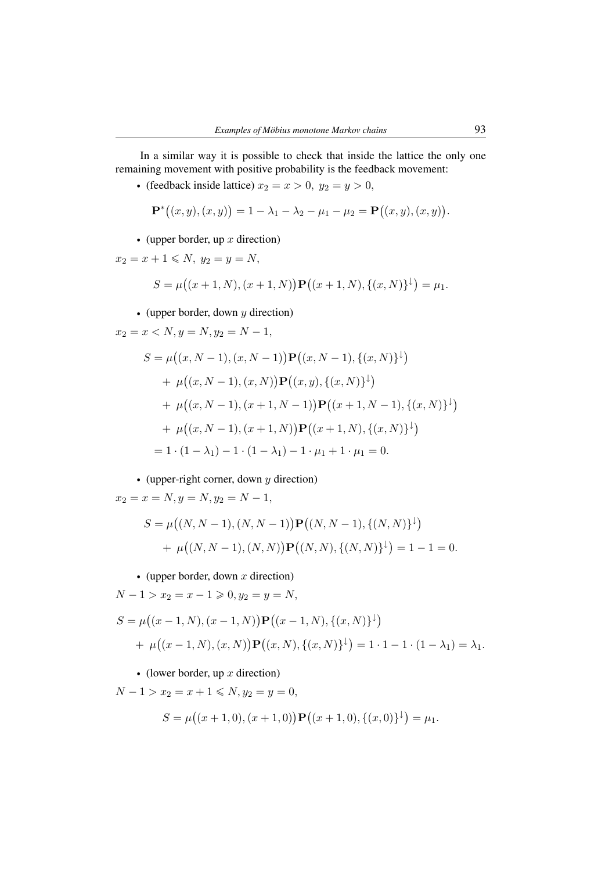In a similar way it is possible to check that inside the lattice the only one remaining movement with positive probability is the feedback movement:

• (feedback inside lattice)  $x_2 = x > 0$ ,  $y_2 = y > 0$ ,

$$
\mathbf{P}^*((x,y),(x,y)) = 1 - \lambda_1 - \lambda_2 - \mu_1 - \mu_2 = \mathbf{P}((x,y),(x,y)).
$$

*•* (upper border, up *x* direction)

$$
x_2 = x + 1 \leqslant N, y_2 = y = N,
$$

$$
S = \mu((x+1,N),(x+1,N))\mathbf{P}((x+1,N),\{(x,N)\}^{\downarrow}) = \mu_1.
$$

*•* (upper border, down *y* direction)

$$
x_2 = x < N, y = N, y_2 = N - 1,
$$

$$
S = \mu((x, N - 1), (x, N - 1)) \mathbf{P}((x, N - 1), \{(x, N)\}^{\downarrow})
$$
  
+  $\mu((x, N - 1), (x, N)) \mathbf{P}((x, y), \{(x, N)\}^{\downarrow})$   
+  $\mu((x, N - 1), (x + 1, N - 1)) \mathbf{P}((x + 1, N - 1), \{(x, N)\}^{\downarrow})$   
+  $\mu((x, N - 1), (x + 1, N)) \mathbf{P}((x + 1, N), \{(x, N)\}^{\downarrow})$   
=  $1 \cdot (1 - \lambda_1) - 1 \cdot (1 - \lambda_1) - 1 \cdot \mu_1 + 1 \cdot \mu_1 = 0.$ 

*•* (upper-right corner, down *y* direction)

 $x_2 = x = N, y = N, y_2 = N - 1,$ 

$$
S = \mu((N, N-1), (N, N-1))\mathbf{P}((N, N-1), \{(N, N)\}^{\downarrow})
$$
  
+  $\mu((N, N-1), (N, N))\mathbf{P}((N, N), \{(N, N)\}^{\downarrow}) = 1 - 1 = 0.$ 

*•* (upper border, down *x* direction)

 $N - 1 > x_2 = x - 1 \geqslant 0, y_2 = y = N$ ,

$$
S = \mu((x - 1, N), (x - 1, N)) \mathbf{P}((x - 1, N), \{(x, N)\}^{\downarrow})
$$
  
+  $\mu((x - 1, N), (x, N)) \mathbf{P}((x, N), \{(x, N)\}^{\downarrow}) = 1 \cdot 1 - 1 \cdot (1 - \lambda_1) = \lambda_1.$ 

*•* (lower border, up *x* direction)

*N* − 1 >  $x_2 = x + 1 \leq N, y_2 = y = 0$ ,

$$
S = \mu((x+1,0),(x+1,0)) \mathbf{P}((x+1,0),\{(x,0)\}^{\downarrow}) = \mu_1.
$$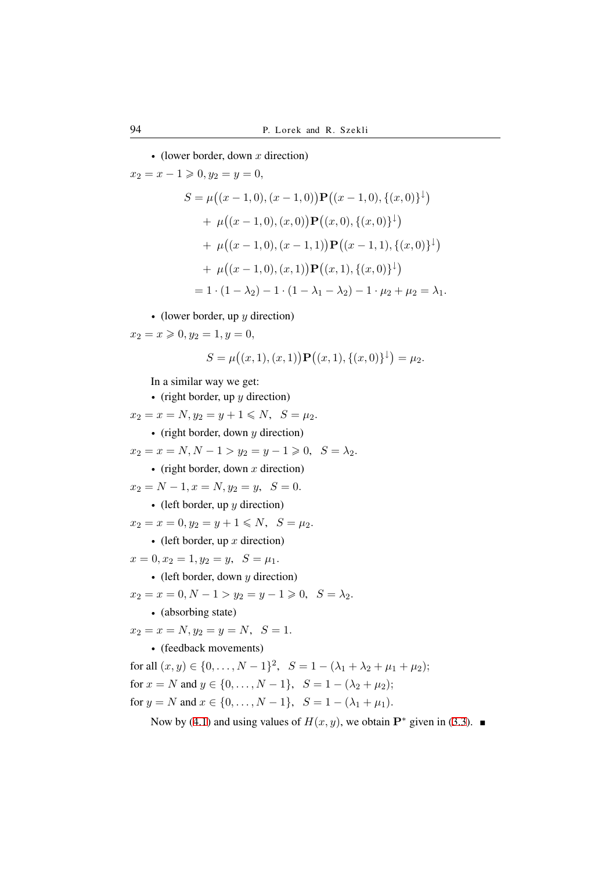*•* (lower border, down *x* direction)

$$
x_2 = x - 1 \ge 0, y_2 = y = 0,
$$
  
\n
$$
S = \mu((x - 1, 0), (x - 1, 0)) \mathbf{P}((x - 1, 0), \{(x, 0)\}^{\downarrow})
$$
  
\n
$$
+ \mu((x - 1, 0), (x, 0)) \mathbf{P}((x, 0), \{(x, 0)\}^{\downarrow})
$$
  
\n
$$
+ \mu((x - 1, 0), (x - 1, 1)) \mathbf{P}((x - 1, 1), \{(x, 0)\}^{\downarrow})
$$
  
\n
$$
+ \mu((x - 1, 0), (x, 1)) \mathbf{P}((x, 1), \{(x, 0)\}^{\downarrow})
$$
  
\n
$$
= 1 \cdot (1 - \lambda_2) - 1 \cdot (1 - \lambda_1 - \lambda_2) - 1 \cdot \mu_2 + \mu_2 = \lambda_1.
$$

*•* (lower border, up *y* direction)

 $x_2 = x \geqslant 0, y_2 = 1, y = 0,$ 

$$
S = \mu((x, 1), (x, 1)) \mathbf{P}((x, 1), \{(x, 0)\}^{\downarrow}) = \mu_2.
$$

In a similar way we get:

*•* (right border, up *y* direction)  $x_2 = x = N, y_2 = y + 1 \leq N, S = \mu_2.$ *•* (right border, down *y* direction)  $x_2 = x = N, N - 1 > y_2 = y - 1 \geq 0, S = \lambda_2.$ *•* (right border, down *x* direction)  $x_2 = N - 1, x = N, y_2 = y, S = 0.$ *•* (left border, up *y* direction)  $x_2 = x = 0, y_2 = y + 1 \leq N, S = \mu_2.$ *•* (left border, up *x* direction)  $x = 0, x_2 = 1, y_2 = y, S = \mu_1.$ *•* (left border, down *y* direction)  $x_2 = x = 0, N - 1 > y_2 = y - 1 \geq 0, S = \lambda_2.$ *•* (absorbing state)  $x_2 = x = N, y_2 = y = N, S = 1.$ *•* (feedback movements) for all  $(x, y) \in \{0, \ldots, N - 1\}^2$ ,  $S = 1 - (\lambda_1 + \lambda_2 + \mu_1 + \mu_2);$ for  $x = N$  and  $y \in \{0, ..., N - 1\}$ ,  $S = 1 - (\lambda_2 + \mu_2)$ ; for  $y = N$  and  $x \in \{0, ..., N - 1\}$ ,  $S = 1 - (\lambda_1 + \mu_1)$ .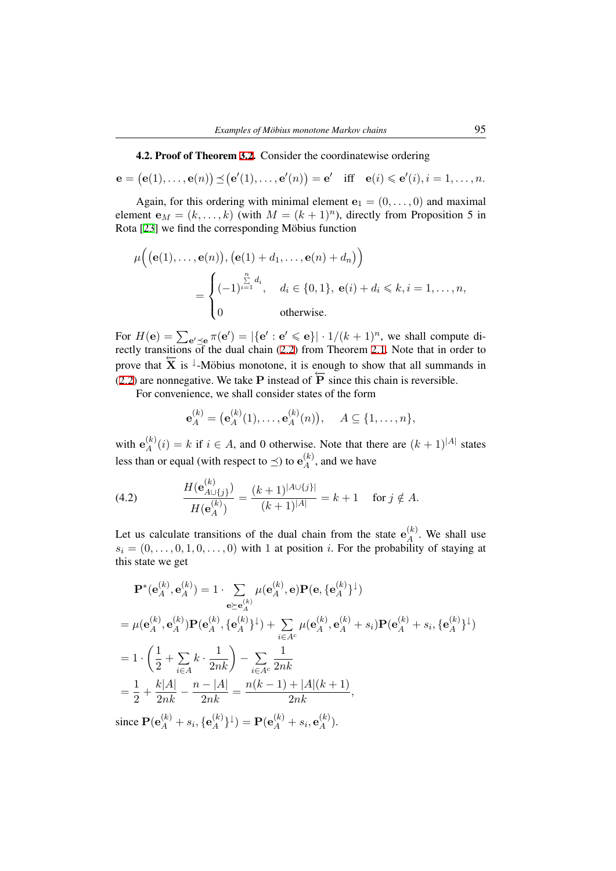4.2. Proof of Theorem 3.2. Consider the coordinatewise ordering

$$
e = (e(1),...,e(n)) \leq (e'(1),...,e'(n)) = e'
$$
 iff  $e(i) \leq e'(i), i = 1,...,n$ .

Again, for this orderin[g w](#page-7-0)ith minimal element  $e_1 = (0, \ldots, 0)$  and maximal element  $e_M = (k, \ldots, k)$  (with  $M = (k + 1)^n$ ), directly from Proposition 5 in Rota  $[23]$  we find the corresponding Möbius function

$$
\mu\Big((\mathbf{e}(1),\ldots,\mathbf{e}(n)),(\mathbf{e}(1)+d_1,\ldots,\mathbf{e}(n)+d_n)\Big)
$$
  
= 
$$
\begin{cases} (-1)^{\sum\limits_{i=1}^{n}d_i}, & d_i \in \{0,1\}, \mathbf{e}(i)+d_i \leq k, i=1,\ldots,n, \\ 0 & \text{otherwise.} \end{cases}
$$

For  $H(e) = \sum_{e' \preceq e} \pi(e') = |\{e' : e' \leq e\}| \cdot 1/(k+1)^n$ , we shall compute directly transitions of the dual chain (2.2) from Theorem 2.1. Note that in order to prove that  $\overline{X}$  is <sup> $\downarrow$ </sup>-Möbius monotone, it is enough to show that all summands in (2.2) are nonnegative. We take **P** instead of  $\overline{P}$  since this chain is reversible.

For convenience, we shall consi[der](#page-3-2) states of the for[m](#page-3-0)

$$
\mathbf{e}_{A}^{(k)} = (\mathbf{e}_{A}^{(k)}(1), \dots, \mathbf{e}_{A}^{(k)}(n)), \quad A \subseteq \{1, \dots, n\},\
$$

with  $e_A^{(k)}$  $A^{(k)}(i) = k$  if  $i \in A$ , and 0 otherwise. Note that there are  $(k+1)^{|A|}$  states less than or equal (with respect to  $\preceq$ ) to  $e_A^{(k)}$  $A^{(k)}$ , and we have

(4.2) 
$$
\frac{H(\mathbf{e}_{A\cup\{j\}}^{(k)})}{H(\mathbf{e}_A^{(k)})} = \frac{(k+1)^{|A\cup\{j\}|}}{(k+1)^{|A|}} = k+1 \text{ for } j \notin A.
$$

<span id="page-20-0"></span>Let us calculate transitions of the dual chain from the state  $e_A^{(k)}$  $A^{(k)}$ . We shall use  $s_i = (0, \ldots, 0, 1, 0, \ldots, 0)$  with 1 at position *i*. For the probability of staying at this state we get

$$
\mathbf{P}^*(\mathbf{e}_A^{(k)}, \mathbf{e}_A^{(k)}) = 1 \cdot \sum_{\mathbf{e} \succeq \mathbf{e}_A^{(k)}} \mu(\mathbf{e}_A^{(k)}, \mathbf{e}) \mathbf{P}(\mathbf{e}, \{\mathbf{e}_A^{(k)}\}^{\downarrow})
$$
  
\n
$$
= \mu(\mathbf{e}_A^{(k)}, \mathbf{e}_A^{(k)}) \mathbf{P}(\mathbf{e}_A^{(k)}, \{\mathbf{e}_A^{(k)}\}^{\downarrow}) + \sum_{i \in A^c} \mu(\mathbf{e}_A^{(k)}, \mathbf{e}_A^{(k)} + s_i) \mathbf{P}(\mathbf{e}_A^{(k)} + s_i, \{\mathbf{e}_A^{(k)}\}^{\downarrow})
$$
  
\n
$$
= 1 \cdot \left(\frac{1}{2} + \sum_{i \in A} k \cdot \frac{1}{2nk}\right) - \sum_{i \in A^c} \frac{1}{2nk}
$$
  
\n
$$
= \frac{1}{2} + \frac{k|A|}{2nk} - \frac{n - |A|}{2nk} = \frac{n(k - 1) + |A|(k + 1)}{2nk},
$$

since  $\mathbf{P}(\mathbf{e}_A^{(k)} + s_i, \{\mathbf{e}_A^{(k)}\})$  $\{A^{(k)}\}^{\downarrow}) = \mathbf{P}(\mathbf{e}_A^{(k)} + s_i, \mathbf{e}_A^{(k)})$  $\binom{\kappa}{A}$ .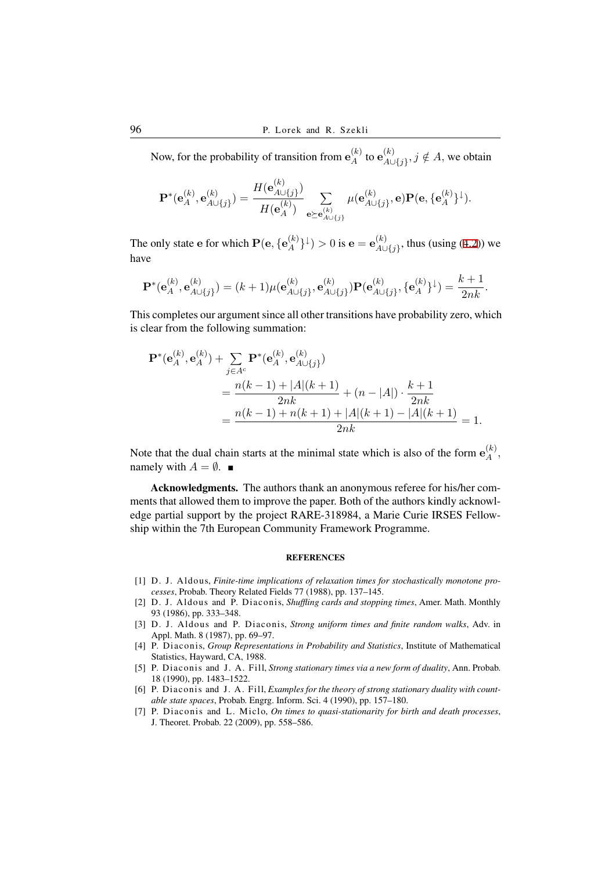Now, for the probability of transition from  $e_A^{(k)}$  $_A^{(k)}$  to  $\mathbf{e}_{A\cup}^{(k)}$  $A ∪ {A} ∪ {j}$ ,  $j \notin A$ , we obtain

$$
\mathbf{P}^{*}(\mathbf{e}_{A}^{(k)}, \mathbf{e}_{A \cup \{j\}}^{(k)}) = \frac{H(\mathbf{e}_{A \cup \{j\}}^{(k)})}{H(\mathbf{e}_{A}^{(k)})} \sum_{\mathbf{e} \succeq \mathbf{e}_{A \cup \{j\}}^{(k)}} \mu(\mathbf{e}_{A \cup \{j\}}^{(k)}, \mathbf{e}) \mathbf{P}(\mathbf{e}, \{\mathbf{e}_{A}^{(k)}\}^{\downarrow}).
$$

The only state **e** for which  $\mathbf{P}(\mathbf{e}, \{\mathbf{e}_A^{(k)}\})$  $\binom{k}{A}$  }<sup> $\downarrow$ </sup>) > 0 is **e** = **e**<sup>(*k*)</sup><sub>*A*<sup>L</sup></sub> *A∪{j}* , thus (using (4.2)) we have

$$
\mathbf{P}^*(\mathbf{e}_A^{(k)}, \mathbf{e}_{A \cup \{j\}}^{(k)}) = (k+1)\mu(\mathbf{e}_{A \cup \{j\}}^{(k)}, \mathbf{e}_{A \cup \{j\}}^{(k)})\mathbf{P}(\mathbf{e}_{A \cup \{j\}}^{(k)}, \{\mathbf{e}_A^{(k)}\}^{\downarrow}) = \frac{k+1}{2nk}.
$$

This completes our argument since all other transitions have probability zero, which is clear from the following summation:

$$
\mathbf{P}^*(\mathbf{e}_A^{(k)}, \mathbf{e}_A^{(k)}) + \sum_{j \in A^c} \mathbf{P}^*(\mathbf{e}_A^{(k)}, \mathbf{e}_{A \cup \{j\}}^{(k)})
$$
  
= 
$$
\frac{n(k-1) + |A|(k+1)}{2nk} + (n - |A|) \cdot \frac{k+1}{2nk}
$$
  
= 
$$
\frac{n(k-1) + n(k+1) + |A|(k+1) - |A|(k+1)}{2nk} = 1.
$$

Note that the dual chain starts at the minimal state which is also of the form  $e_A^{(k)}$  $\mathcal{A}^{(\kappa)}$ , namely with  $A = \emptyset$ .

Acknowledgments. The authors thank an anonymous referee for his/her comments that allowed them to improve the paper. Both of the authors kindly acknowledge partial support by the project RARE-318984, a Marie Curie IRSES Fellowship within the 7th European Community Framework Programme.

#### **REFERENCES**

- [1] D. J. Aldous, *Finite-time implications of relaxation times for stochastically monotone processes*, Probab. Theory Related Fields 77 (1988), pp. 137–145.
- [2] D. J. Aldous and P. Diaconis, *Shuffling cards and stopping times*, Amer. Math. Monthly 93 (1986), pp. 333–348.
- [3] D. J. Aldous and P. Diaconis, *Strong uniform times and finite random walks*, Adv. in Appl. Math. 8 (1987), pp. 69–97.
- <span id="page-21-0"></span>[4] P. Diaconis, *Group Representations in Probability and Statistics*, Institute of Mathematical Statistics, Hayward, CA, 1988.
- <span id="page-21-1"></span>[5] P. Diaconis and J. A. Fill, *Strong stationary times via a new form of duality*, Ann. Probab. 18 (1990), pp. 1483–1522.
- <span id="page-21-2"></span>[6] P. Diaconis and J. A. Fill, *Examples for the theory of strong stationary duality with countable state spaces*, Probab. Engrg. Inform. Sci. 4 (1990), pp. 157–180.
- <span id="page-21-5"></span><span id="page-21-4"></span><span id="page-21-3"></span>[7] P. Diaconis and L. Miclo, *On times to quasi-stationarity for birth and death processes*, J. Theoret. Probab. 22 (2009), pp. 558–586.